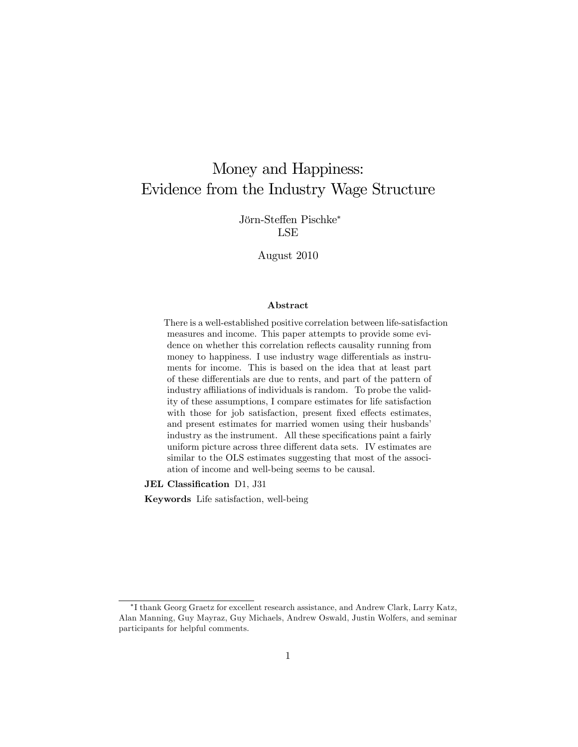# Money and Happiness: Evidence from the Industry Wage Structure

Jörn-Steffen Pischke\* LSE

August 2010

#### Abstract

There is a well-established positive correlation between life-satisfaction measures and income. This paper attempts to provide some evidence on whether this correlation reflects causality running from money to happiness. I use industry wage differentials as instruments for income. This is based on the idea that at least part of these differentials are due to rents, and part of the pattern of industry affiliations of individuals is random. To probe the validity of these assumptions, I compare estimates for life satisfaction with those for job satisfaction, present fixed effects estimates, and present estimates for married women using their husbands' industry as the instrument. All these specifications paint a fairly uniform picture across three different data sets. IV estimates are similar to the OLS estimates suggesting that most of the association of income and well-being seems to be causal.

JEL Classification D1, J31

Keywords Life satisfaction, well-being

I thank Georg Graetz for excellent research assistance, and Andrew Clark, Larry Katz, Alan Manning, Guy Mayraz, Guy Michaels, Andrew Oswald, Justin Wolfers, and seminar participants for helpful comments.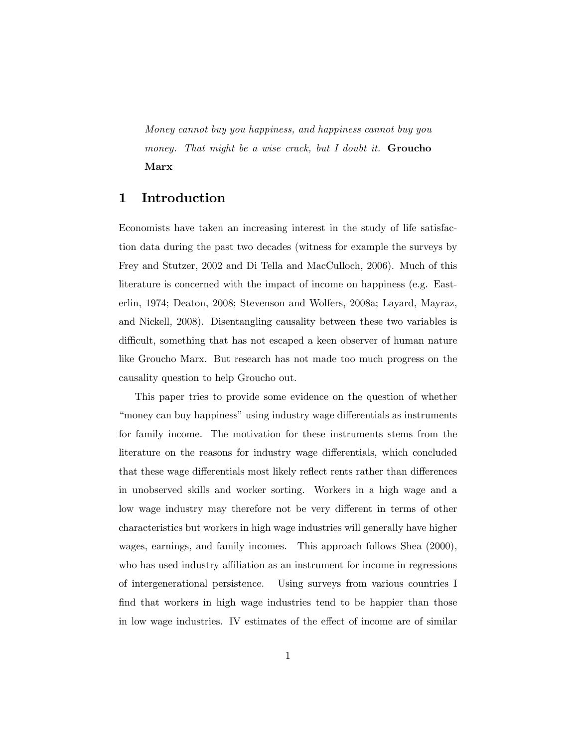Money cannot buy you happiness, and happiness cannot buy you money. That might be a wise crack, but I doubt it. **Groucho** Marx

#### 1 Introduction

Economists have taken an increasing interest in the study of life satisfaction data during the past two decades (witness for example the surveys by Frey and Stutzer, 2002 and Di Tella and MacCulloch, 2006). Much of this literature is concerned with the impact of income on happiness (e.g. Easterlin, 1974; Deaton, 2008; Stevenson and Wolfers, 2008a; Layard, Mayraz, and Nickell, 2008). Disentangling causality between these two variables is difficult, something that has not escaped a keen observer of human nature like Groucho Marx. But research has not made too much progress on the causality question to help Groucho out.

This paper tries to provide some evidence on the question of whether ìmoney can buy happinessîusing industry wage di§erentials as instruments for family income. The motivation for these instruments stems from the literature on the reasons for industry wage differentials, which concluded that these wage differentials most likely reflect rents rather than differences in unobserved skills and worker sorting. Workers in a high wage and a low wage industry may therefore not be very different in terms of other characteristics but workers in high wage industries will generally have higher wages, earnings, and family incomes. This approach follows Shea (2000), who has used industry affiliation as an instrument for income in regressions of intergenerational persistence. Using surveys from various countries I find that workers in high wage industries tend to be happier than those in low wage industries. IV estimates of the effect of income are of similar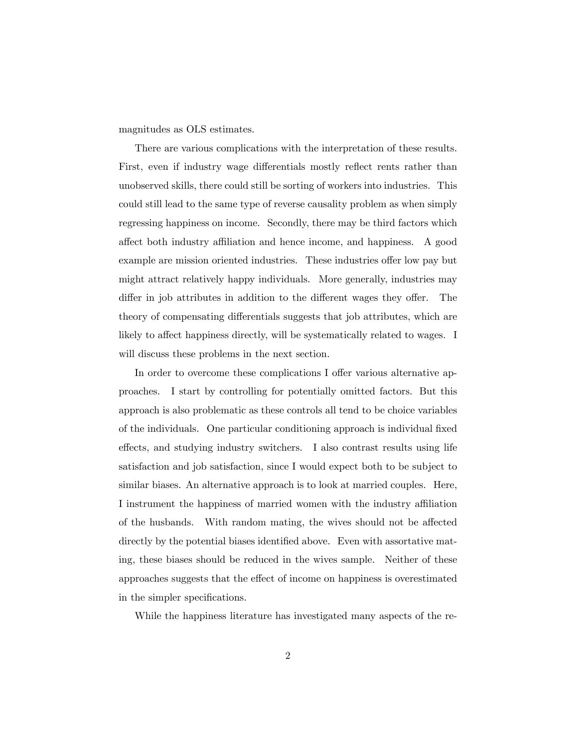magnitudes as OLS estimates.

There are various complications with the interpretation of these results. First, even if industry wage differentials mostly reflect rents rather than unobserved skills, there could still be sorting of workers into industries. This could still lead to the same type of reverse causality problem as when simply regressing happiness on income. Secondly, there may be third factors which affect both industry affiliation and hence income, and happiness. A good example are mission oriented industries. These industries offer low pay but might attract relatively happy individuals. More generally, industries may differ in job attributes in addition to the different wages they offer. The theory of compensating differentials suggests that job attributes, which are likely to affect happiness directly, will be systematically related to wages. I will discuss these problems in the next section.

In order to overcome these complications I offer various alternative approaches. I start by controlling for potentially omitted factors. But this approach is also problematic as these controls all tend to be choice variables of the individuals. One particular conditioning approach is individual fixed effects, and studying industry switchers. I also contrast results using life satisfaction and job satisfaction, since I would expect both to be subject to similar biases. An alternative approach is to look at married couples. Here, I instrument the happiness of married women with the industry affiliation of the husbands. With random mating, the wives should not be affected directly by the potential biases identified above. Even with assortative mating, these biases should be reduced in the wives sample. Neither of these approaches suggests that the effect of income on happiness is overestimated in the simpler specifications.

While the happiness literature has investigated many aspects of the re-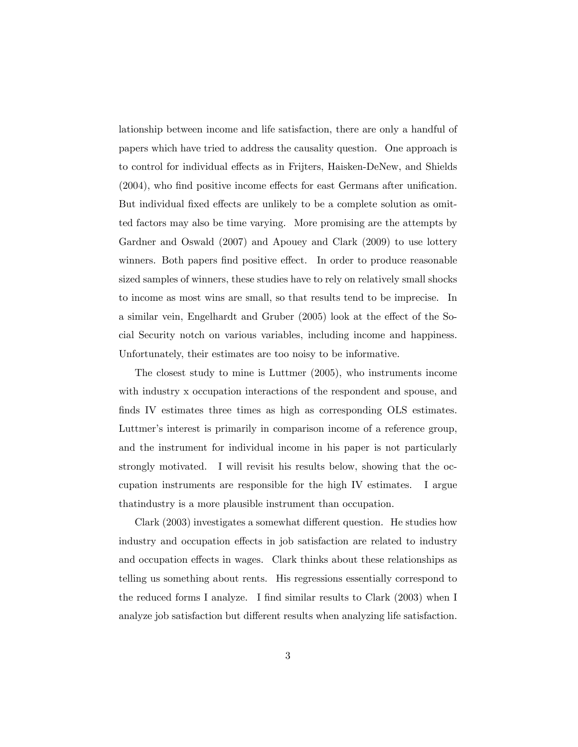lationship between income and life satisfaction, there are only a handful of papers which have tried to address the causality question. One approach is to control for individual effects as in Frijters, Haisken-DeNew, and Shields  $(2004)$ , who find positive income effects for east Germans after unification. But individual fixed effects are unlikely to be a complete solution as omitted factors may also be time varying. More promising are the attempts by Gardner and Oswald (2007) and Apouey and Clark (2009) to use lottery winners. Both papers find positive effect. In order to produce reasonable sized samples of winners, these studies have to rely on relatively small shocks to income as most wins are small, so that results tend to be imprecise. In a similar vein, Engelhardt and Gruber (2005) look at the effect of the Social Security notch on various variables, including income and happiness. Unfortunately, their estimates are too noisy to be informative.

The closest study to mine is Luttmer (2005), who instruments income with industry x occupation interactions of the respondent and spouse, and finds IV estimates three times as high as corresponding OLS estimates. Luttmer's interest is primarily in comparison income of a reference group, and the instrument for individual income in his paper is not particularly strongly motivated. I will revisit his results below, showing that the occupation instruments are responsible for the high IV estimates. I argue thatindustry is a more plausible instrument than occupation.

Clark (2003) investigates a somewhat different question. He studies how industry and occupation effects in job satisfaction are related to industry and occupation effects in wages. Clark thinks about these relationships as telling us something about rents. His regressions essentially correspond to the reduced forms I analyze. I find similar results to Clark (2003) when I analyze job satisfaction but different results when analyzing life satisfaction.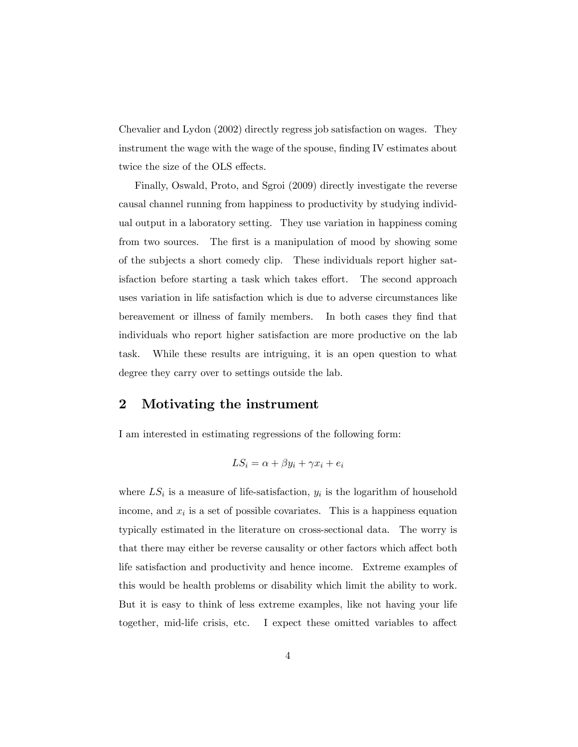Chevalier and Lydon (2002) directly regress job satisfaction on wages. They instrument the wage with the wage of the spouse, finding IV estimates about twice the size of the OLS effects.

Finally, Oswald, Proto, and Sgroi (2009) directly investigate the reverse causal channel running from happiness to productivity by studying individual output in a laboratory setting. They use variation in happiness coming from two sources. The first is a manipulation of mood by showing some of the subjects a short comedy clip. These individuals report higher satisfaction before starting a task which takes effort. The second approach uses variation in life satisfaction which is due to adverse circumstances like bereavement or illness of family members. In both cases they Önd that individuals who report higher satisfaction are more productive on the lab task. While these results are intriguing, it is an open question to what degree they carry over to settings outside the lab.

#### 2 Motivating the instrument

I am interested in estimating regressions of the following form:

$$
LS_i = \alpha + \beta y_i + \gamma x_i + e_i
$$

where  $LS_i$  is a measure of life-satisfaction,  $y_i$  is the logarithm of household income, and  $x_i$  is a set of possible covariates. This is a happiness equation typically estimated in the literature on cross-sectional data. The worry is that there may either be reverse causality or other factors which affect both life satisfaction and productivity and hence income. Extreme examples of this would be health problems or disability which limit the ability to work. But it is easy to think of less extreme examples, like not having your life together, mid-life crisis, etc. I expect these omitted variables to affect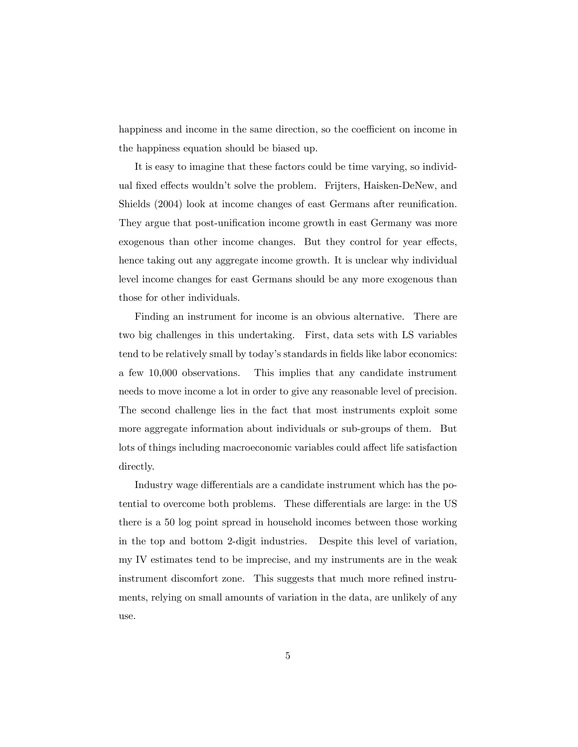happiness and income in the same direction, so the coefficient on income in the happiness equation should be biased up.

It is easy to imagine that these factors could be time varying, so individual fixed effects wouldn't solve the problem. Frijters, Haisken-DeNew, and Shields (2004) look at income changes of east Germans after reunification. They argue that post-unification income growth in east Germany was more exogenous than other income changes. But they control for year effects, hence taking out any aggregate income growth. It is unclear why individual level income changes for east Germans should be any more exogenous than those for other individuals.

Finding an instrument for income is an obvious alternative. There are two big challenges in this undertaking. First, data sets with LS variables tend to be relatively small by today's standards in fields like labor economics: a few 10,000 observations. This implies that any candidate instrument needs to move income a lot in order to give any reasonable level of precision. The second challenge lies in the fact that most instruments exploit some more aggregate information about individuals or sub-groups of them. But lots of things including macroeconomic variables could affect life satisfaction directly.

Industry wage differentials are a candidate instrument which has the potential to overcome both problems. These differentials are large: in the US there is a 50 log point spread in household incomes between those working in the top and bottom 2-digit industries. Despite this level of variation, my IV estimates tend to be imprecise, and my instruments are in the weak instrument discomfort zone. This suggests that much more refined instruments, relying on small amounts of variation in the data, are unlikely of any use.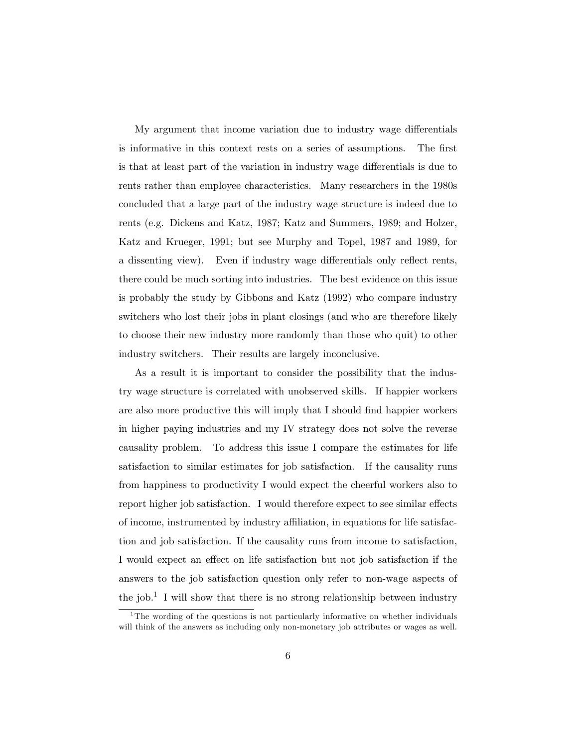My argument that income variation due to industry wage differentials is informative in this context rests on a series of assumptions. The first is that at least part of the variation in industry wage differentials is due to rents rather than employee characteristics. Many researchers in the 1980s concluded that a large part of the industry wage structure is indeed due to rents (e.g. Dickens and Katz, 1987; Katz and Summers, 1989; and Holzer, Katz and Krueger, 1991; but see Murphy and Topel, 1987 and 1989, for a dissenting view). Even if industry wage differentials only reflect rents, there could be much sorting into industries. The best evidence on this issue is probably the study by Gibbons and Katz (1992) who compare industry switchers who lost their jobs in plant closings (and who are therefore likely to choose their new industry more randomly than those who quit) to other industry switchers. Their results are largely inconclusive.

As a result it is important to consider the possibility that the industry wage structure is correlated with unobserved skills. If happier workers are also more productive this will imply that I should find happier workers in higher paying industries and my IV strategy does not solve the reverse causality problem. To address this issue I compare the estimates for life satisfaction to similar estimates for job satisfaction. If the causality runs from happiness to productivity I would expect the cheerful workers also to report higher job satisfaction. I would therefore expect to see similar effects of income, instrumented by industry a¢ liation, in equations for life satisfaction and job satisfaction. If the causality runs from income to satisfaction, I would expect an effect on life satisfaction but not job satisfaction if the answers to the job satisfaction question only refer to non-wage aspects of the job.<sup>1</sup> I will show that there is no strong relationship between industry

<sup>&</sup>lt;sup>1</sup>The wording of the questions is not particularly informative on whether individuals will think of the answers as including only non-monetary job attributes or wages as well.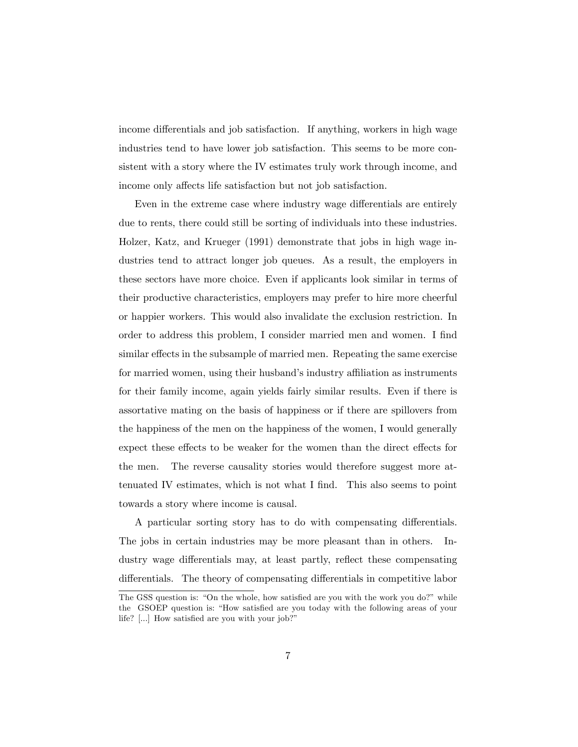income differentials and job satisfaction. If anything, workers in high wage industries tend to have lower job satisfaction. This seems to be more consistent with a story where the IV estimates truly work through income, and income only affects life satisfaction but not job satisfaction.

Even in the extreme case where industry wage differentials are entirely due to rents, there could still be sorting of individuals into these industries. Holzer, Katz, and Krueger (1991) demonstrate that jobs in high wage industries tend to attract longer job queues. As a result, the employers in these sectors have more choice. Even if applicants look similar in terms of their productive characteristics, employers may prefer to hire more cheerful or happier workers. This would also invalidate the exclusion restriction. In order to address this problem, I consider married men and women. I find similar effects in the subsample of married men. Repeating the same exercise for married women, using their husband's industry affiliation as instruments for their family income, again yields fairly similar results. Even if there is assortative mating on the basis of happiness or if there are spillovers from the happiness of the men on the happiness of the women, I would generally expect these effects to be weaker for the women than the direct effects for the men. The reverse causality stories would therefore suggest more attenuated IV estimates, which is not what I find. This also seems to point towards a story where income is causal.

A particular sorting story has to do with compensating differentials. The jobs in certain industries may be more pleasant than in others. Industry wage differentials may, at least partly, reflect these compensating differentials. The theory of compensating differentials in competitive labor

The GSS question is: "On the whole, how satisfied are you with the work you do?" while the GSOEP question is: "How satisfied are you today with the following areas of your life? [...] How satisfied are you with your job?"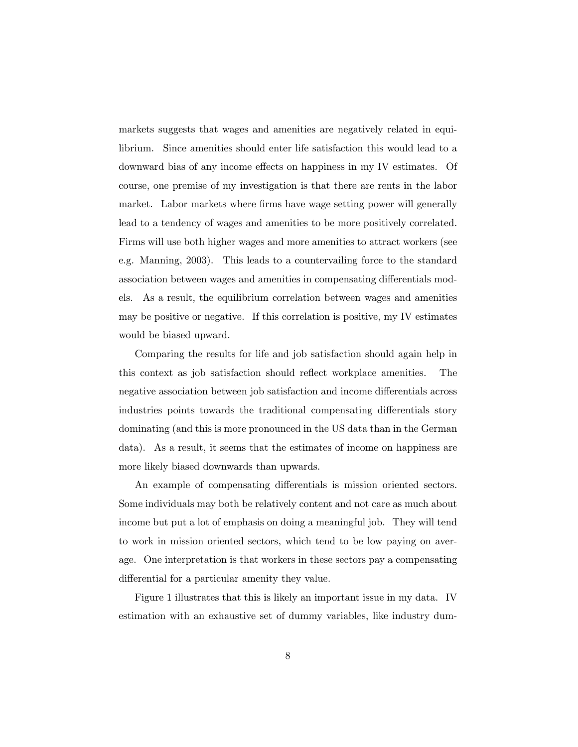markets suggests that wages and amenities are negatively related in equilibrium. Since amenities should enter life satisfaction this would lead to a downward bias of any income effects on happiness in my IV estimates. Of course, one premise of my investigation is that there are rents in the labor market. Labor markets where firms have wage setting power will generally lead to a tendency of wages and amenities to be more positively correlated. Firms will use both higher wages and more amenities to attract workers (see e.g. Manning, 2003). This leads to a countervailing force to the standard association between wages and amenities in compensating differentials models. As a result, the equilibrium correlation between wages and amenities may be positive or negative. If this correlation is positive, my IV estimates would be biased upward.

Comparing the results for life and job satisfaction should again help in this context as job satisfaction should reflect workplace amenities. The negative association between job satisfaction and income differentials across industries points towards the traditional compensating differentials story dominating (and this is more pronounced in the US data than in the German data). As a result, it seems that the estimates of income on happiness are more likely biased downwards than upwards.

An example of compensating differentials is mission oriented sectors. Some individuals may both be relatively content and not care as much about income but put a lot of emphasis on doing a meaningful job. They will tend to work in mission oriented sectors, which tend to be low paying on average. One interpretation is that workers in these sectors pay a compensating differential for a particular amenity they value.

Figure 1 illustrates that this is likely an important issue in my data. IV estimation with an exhaustive set of dummy variables, like industry dum-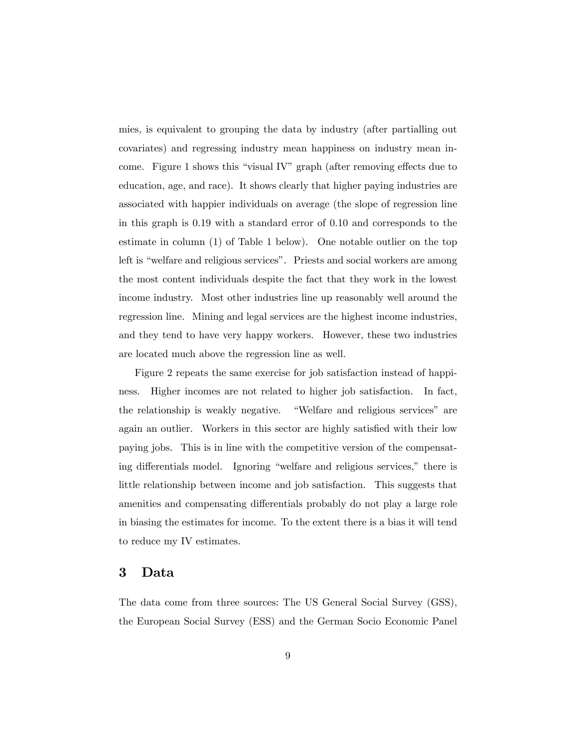mies, is equivalent to grouping the data by industry (after partialling out covariates) and regressing industry mean happiness on industry mean income. Figure 1 shows this "visual IV" graph (after removing effects due to education, age, and race). It shows clearly that higher paying industries are associated with happier individuals on average (the slope of regression line in this graph is 0.19 with a standard error of 0.10 and corresponds to the estimate in column (1) of Table 1 below). One notable outlier on the top left is "welfare and religious services". Priests and social workers are among the most content individuals despite the fact that they work in the lowest income industry. Most other industries line up reasonably well around the regression line. Mining and legal services are the highest income industries, and they tend to have very happy workers. However, these two industries are located much above the regression line as well.

Figure 2 repeats the same exercise for job satisfaction instead of happiness. Higher incomes are not related to higher job satisfaction. In fact, the relationship is weakly negative. "Welfare and religious services" are again an outlier. Workers in this sector are highly satisfied with their low paying jobs. This is in line with the competitive version of the compensating differentials model. Ignoring "welfare and religious services," there is little relationship between income and job satisfaction. This suggests that amenities and compensating differentials probably do not play a large role in biasing the estimates for income. To the extent there is a bias it will tend to reduce my IV estimates.

#### 3 Data

The data come from three sources: The US General Social Survey (GSS), the European Social Survey (ESS) and the German Socio Economic Panel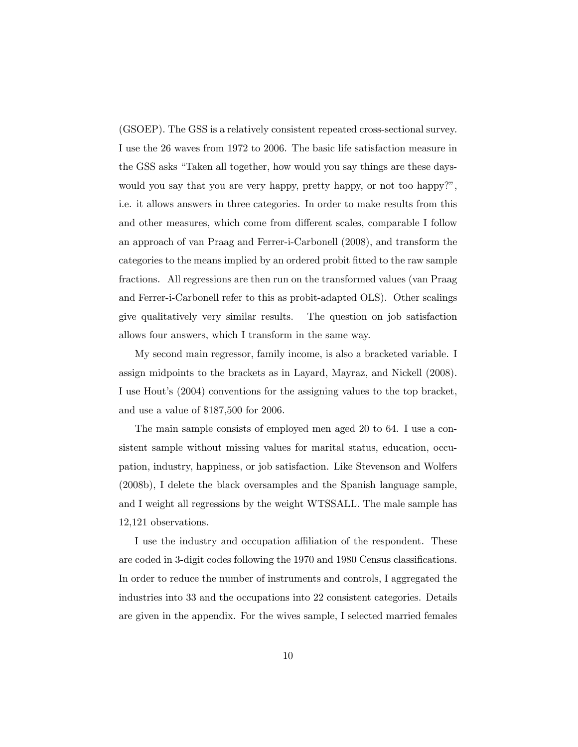(GSOEP). The GSS is a relatively consistent repeated cross-sectional survey. I use the 26 waves from 1972 to 2006. The basic life satisfaction measure in the GSS asks "Taken all together, how would you say things are these dayswould you say that you are very happy, pretty happy, or not too happy?", i.e. it allows answers in three categories. In order to make results from this and other measures, which come from different scales, comparable I follow an approach of van Praag and Ferrer-i-Carbonell (2008), and transform the categories to the means implied by an ordered probit Ötted to the raw sample fractions. All regressions are then run on the transformed values (van Praag and Ferrer-i-Carbonell refer to this as probit-adapted OLS). Other scalings give qualitatively very similar results. The question on job satisfaction allows four answers, which I transform in the same way.

My second main regressor, family income, is also a bracketed variable. I assign midpoints to the brackets as in Layard, Mayraz, and Nickell (2008). I use Hout's (2004) conventions for the assigning values to the top bracket, and use a value of \$187,500 for 2006.

The main sample consists of employed men aged 20 to 64. I use a consistent sample without missing values for marital status, education, occupation, industry, happiness, or job satisfaction. Like Stevenson and Wolfers (2008b), I delete the black oversamples and the Spanish language sample, and I weight all regressions by the weight WTSSALL. The male sample has 12,121 observations.

I use the industry and occupation affiliation of the respondent. These are coded in 3-digit codes following the 1970 and 1980 Census classifications. In order to reduce the number of instruments and controls, I aggregated the industries into 33 and the occupations into 22 consistent categories. Details are given in the appendix. For the wives sample, I selected married females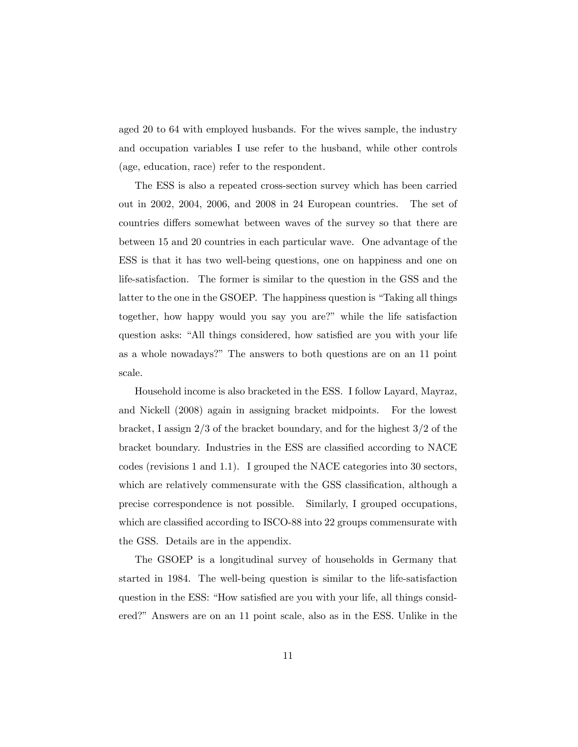aged 20 to 64 with employed husbands. For the wives sample, the industry and occupation variables I use refer to the husband, while other controls (age, education, race) refer to the respondent.

The ESS is also a repeated cross-section survey which has been carried out in 2002, 2004, 2006, and 2008 in 24 European countries. The set of countries differs somewhat between waves of the survey so that there are between 15 and 20 countries in each particular wave. One advantage of the ESS is that it has two well-being questions, one on happiness and one on life-satisfaction. The former is similar to the question in the GSS and the latter to the one in the GSOEP. The happiness question is "Taking all things" together, how happy would you say you are?" while the life satisfaction question asks: "All things considered, how satisfied are you with your life as a whole nowadays?î The answers to both questions are on an 11 point scale.

Household income is also bracketed in the ESS. I follow Layard, Mayraz, and Nickell (2008) again in assigning bracket midpoints. For the lowest bracket, I assign 2/3 of the bracket boundary, and for the highest 3/2 of the bracket boundary. Industries in the ESS are classified according to NACE codes (revisions 1 and 1.1). I grouped the NACE categories into 30 sectors, which are relatively commensurate with the GSS classification, although a precise correspondence is not possible. Similarly, I grouped occupations, which are classified according to ISCO-88 into 22 groups commensurate with the GSS. Details are in the appendix.

The GSOEP is a longitudinal survey of households in Germany that started in 1984. The well-being question is similar to the life-satisfaction question in the ESS: "How satisfied are you with your life, all things considered?î Answers are on an 11 point scale, also as in the ESS. Unlike in the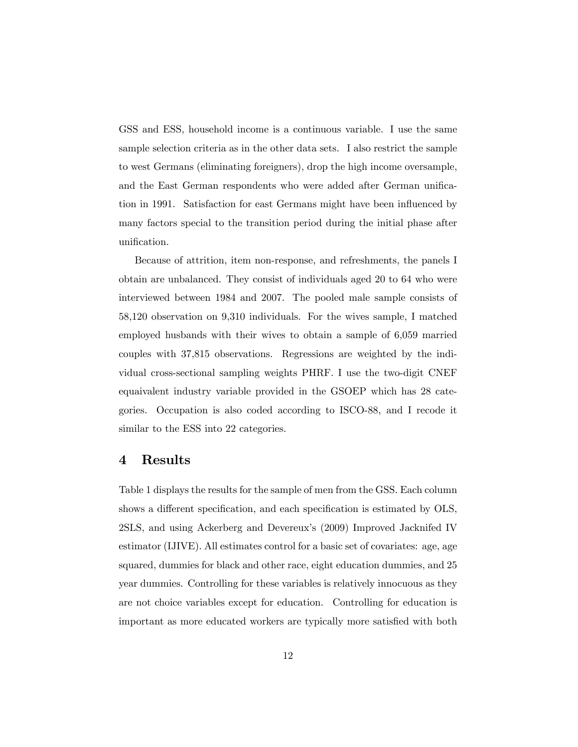GSS and ESS, household income is a continuous variable. I use the same sample selection criteria as in the other data sets. I also restrict the sample to west Germans (eliminating foreigners), drop the high income oversample, and the East German respondents who were added after German unification in 1991. Satisfaction for east Germans might have been influenced by many factors special to the transition period during the initial phase after unification.

Because of attrition, item non-response, and refreshments, the panels I obtain are unbalanced. They consist of individuals aged 20 to 64 who were interviewed between 1984 and 2007. The pooled male sample consists of 58,120 observation on 9,310 individuals. For the wives sample, I matched employed husbands with their wives to obtain a sample of 6,059 married couples with 37,815 observations. Regressions are weighted by the individual cross-sectional sampling weights PHRF. I use the two-digit CNEF equaivalent industry variable provided in the GSOEP which has 28 categories. Occupation is also coded according to ISCO-88, and I recode it similar to the ESS into 22 categories.

#### 4 Results

Table 1 displays the results for the sample of men from the GSS. Each column shows a different specification, and each specification is estimated by OLS, 2SLS, and using Ackerberg and Devereux's (2009) Improved Jacknifed IV estimator (IJIVE). All estimates control for a basic set of covariates: age, age squared, dummies for black and other race, eight education dummies, and 25 year dummies. Controlling for these variables is relatively innocuous as they are not choice variables except for education. Controlling for education is important as more educated workers are typically more satisfied with both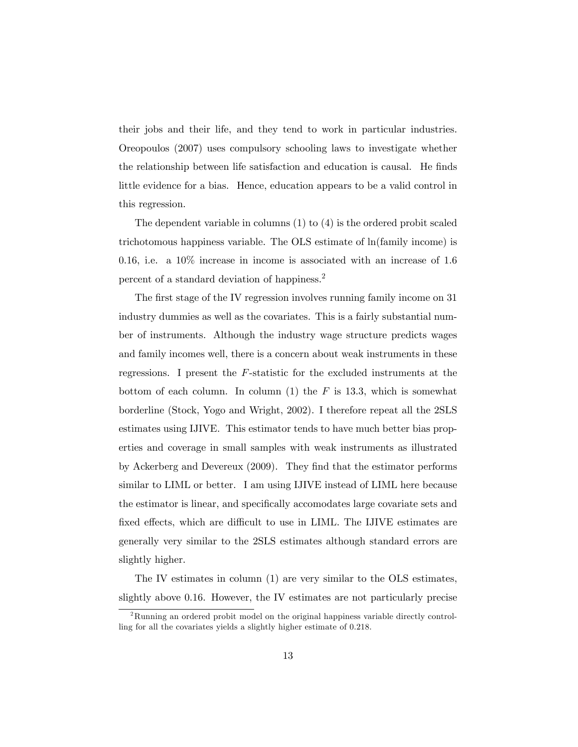their jobs and their life, and they tend to work in particular industries. Oreopoulos (2007) uses compulsory schooling laws to investigate whether the relationship between life satisfaction and education is causal. He finds little evidence for a bias. Hence, education appears to be a valid control in this regression.

The dependent variable in columns (1) to (4) is the ordered probit scaled trichotomous happiness variable. The OLS estimate of ln(family income) is 0.16, i.e. a  $10\%$  increase in income is associated with an increase of 1.6 percent of a standard deviation of happiness.<sup>2</sup>

The first stage of the IV regression involves running family income on 31 industry dummies as well as the covariates. This is a fairly substantial number of instruments. Although the industry wage structure predicts wages and family incomes well, there is a concern about weak instruments in these regressions. I present the F-statistic for the excluded instruments at the bottom of each column. In column  $(1)$  the F is 13.3, which is somewhat borderline (Stock, Yogo and Wright, 2002). I therefore repeat all the 2SLS estimates using IJIVE. This estimator tends to have much better bias properties and coverage in small samples with weak instruments as illustrated by Ackerberg and Devereux (2009). They find that the estimator performs similar to LIML or better. I am using IJIVE instead of LIML here because the estimator is linear, and specifically accomodates large covariate sets and fixed effects, which are difficult to use in LIML. The IJIVE estimates are generally very similar to the 2SLS estimates although standard errors are slightly higher.

The IV estimates in column (1) are very similar to the OLS estimates, slightly above 0.16. However, the IV estimates are not particularly precise

<sup>2</sup>Running an ordered probit model on the original happiness variable directly controlling for all the covariates yields a slightly higher estimate of 0.218.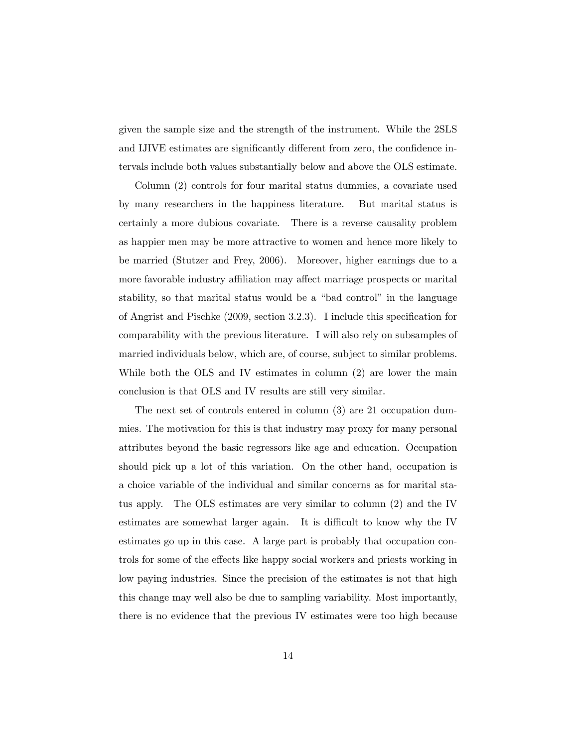given the sample size and the strength of the instrument. While the 2SLS and IJIVE estimates are significantly different from zero, the confidence intervals include both values substantially below and above the OLS estimate.

Column (2) controls for four marital status dummies, a covariate used by many researchers in the happiness literature. But marital status is certainly a more dubious covariate. There is a reverse causality problem as happier men may be more attractive to women and hence more likely to be married (Stutzer and Frey, 2006). Moreover, higher earnings due to a more favorable industry affiliation may affect marriage prospects or marital stability, so that marital status would be a "bad control" in the language of Angrist and Pischke  $(2009, \text{ section } 3.2.3)$ . I include this specification for comparability with the previous literature. I will also rely on subsamples of married individuals below, which are, of course, subject to similar problems. While both the OLS and IV estimates in column (2) are lower the main conclusion is that OLS and IV results are still very similar.

The next set of controls entered in column (3) are 21 occupation dummies. The motivation for this is that industry may proxy for many personal attributes beyond the basic regressors like age and education. Occupation should pick up a lot of this variation. On the other hand, occupation is a choice variable of the individual and similar concerns as for marital status apply. The OLS estimates are very similar to column (2) and the IV estimates are somewhat larger again. It is difficult to know why the IV estimates go up in this case. A large part is probably that occupation controls for some of the effects like happy social workers and priests working in low paying industries. Since the precision of the estimates is not that high this change may well also be due to sampling variability. Most importantly, there is no evidence that the previous IV estimates were too high because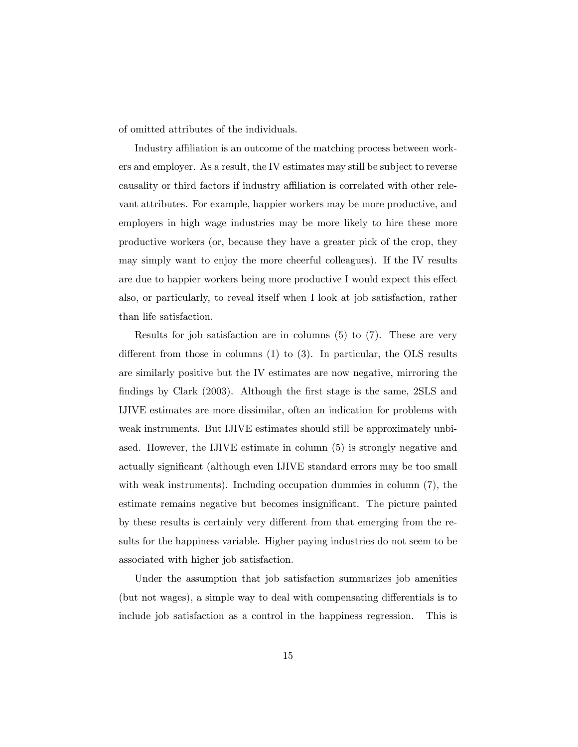of omitted attributes of the individuals.

Industry affiliation is an outcome of the matching process between workers and employer. As a result, the IV estimates may still be subject to reverse causality or third factors if industry affiliation is correlated with other relevant attributes. For example, happier workers may be more productive, and employers in high wage industries may be more likely to hire these more productive workers (or, because they have a greater pick of the crop, they may simply want to enjoy the more cheerful colleagues). If the IV results are due to happier workers being more productive I would expect this effect also, or particularly, to reveal itself when I look at job satisfaction, rather than life satisfaction.

Results for job satisfaction are in columns (5) to (7). These are very different from those in columns  $(1)$  to  $(3)$ . In particular, the OLS results are similarly positive but the IV estimates are now negative, mirroring the findings by Clark (2003). Although the first stage is the same, 2SLS and IJIVE estimates are more dissimilar, often an indication for problems with weak instruments. But IJIVE estimates should still be approximately unbiased. However, the IJIVE estimate in column (5) is strongly negative and actually significant (although even IJIVE standard errors may be too small with weak instruments). Including occupation dummies in column (7), the estimate remains negative but becomes insignificant. The picture painted by these results is certainly very different from that emerging from the results for the happiness variable. Higher paying industries do not seem to be associated with higher job satisfaction.

Under the assumption that job satisfaction summarizes job amenities (but not wages), a simple way to deal with compensating differentials is to include job satisfaction as a control in the happiness regression. This is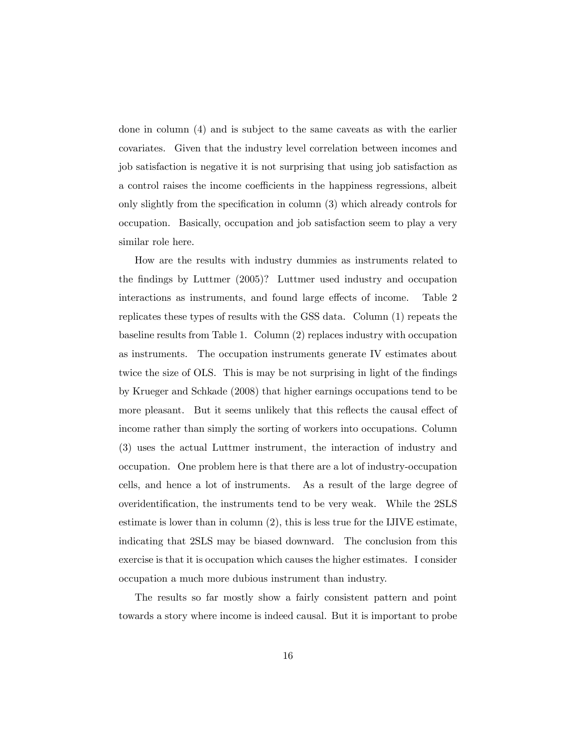done in column (4) and is subject to the same caveats as with the earlier covariates. Given that the industry level correlation between incomes and job satisfaction is negative it is not surprising that using job satisfaction as a control raises the income coefficients in the happiness regressions, albeit only slightly from the specification in column  $(3)$  which already controls for occupation. Basically, occupation and job satisfaction seem to play a very similar role here.

How are the results with industry dummies as instruments related to the findings by Luttmer (2005)? Luttmer used industry and occupation interactions as instruments, and found large effects of income. Table 2 replicates these types of results with the GSS data. Column (1) repeats the baseline results from Table 1. Column (2) replaces industry with occupation as instruments. The occupation instruments generate IV estimates about twice the size of OLS. This is may be not surprising in light of the findings by Krueger and Schkade (2008) that higher earnings occupations tend to be more pleasant. But it seems unlikely that this reflects the causal effect of income rather than simply the sorting of workers into occupations. Column (3) uses the actual Luttmer instrument, the interaction of industry and occupation. One problem here is that there are a lot of industry-occupation cells, and hence a lot of instruments. As a result of the large degree of overidentification, the instruments tend to be very weak. While the 2SLS estimate is lower than in column (2), this is less true for the IJIVE estimate, indicating that 2SLS may be biased downward. The conclusion from this exercise is that it is occupation which causes the higher estimates. I consider occupation a much more dubious instrument than industry.

The results so far mostly show a fairly consistent pattern and point towards a story where income is indeed causal. But it is important to probe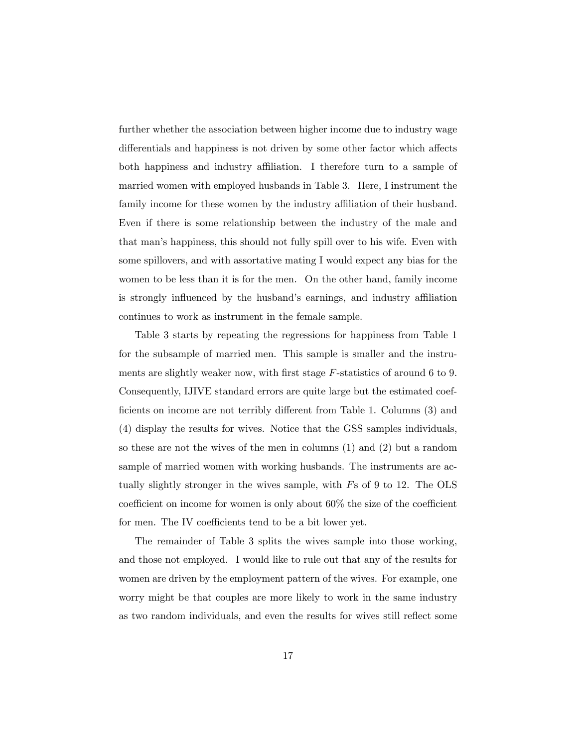further whether the association between higher income due to industry wage differentials and happiness is not driven by some other factor which affects both happiness and industry affiliation. I therefore turn to a sample of married women with employed husbands in Table 3. Here, I instrument the family income for these women by the industry affiliation of their husband. Even if there is some relationship between the industry of the male and that manís happiness, this should not fully spill over to his wife. Even with some spillovers, and with assortative mating I would expect any bias for the women to be less than it is for the men. On the other hand, family income is strongly influenced by the husband's earnings, and industry affiliation continues to work as instrument in the female sample.

Table 3 starts by repeating the regressions for happiness from Table 1 for the subsample of married men. This sample is smaller and the instruments are slightly weaker now, with first stage  $F$ -statistics of around 6 to 9. Consequently, IJIVE standard errors are quite large but the estimated coefficients on income are not terribly different from Table 1. Columns (3) and (4) display the results for wives. Notice that the GSS samples individuals, so these are not the wives of the men in columns (1) and (2) but a random sample of married women with working husbands. The instruments are actually slightly stronger in the wives sample, with Fs of 9 to 12. The OLS coefficient on income for women is only about  $60\%$  the size of the coefficient for men. The IV coefficients tend to be a bit lower yet.

The remainder of Table 3 splits the wives sample into those working, and those not employed. I would like to rule out that any of the results for women are driven by the employment pattern of the wives. For example, one worry might be that couples are more likely to work in the same industry as two random individuals, and even the results for wives still reflect some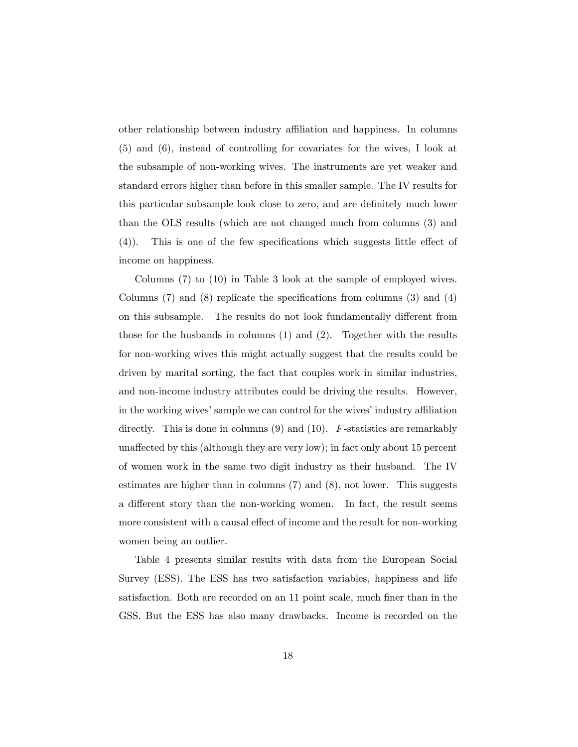other relationship between industry affiliation and happiness. In columns (5) and (6), instead of controlling for covariates for the wives, I look at the subsample of non-working wives. The instruments are yet weaker and standard errors higher than before in this smaller sample. The IV results for this particular subsample look close to zero, and are definitely much lower than the OLS results (which are not changed much from columns (3) and  $(4)$ ). This is one of the few specifications which suggests little effect of income on happiness.

Columns (7) to (10) in Table 3 look at the sample of employed wives. Columns  $(7)$  and  $(8)$  replicate the specifications from columns  $(3)$  and  $(4)$ on this subsample. The results do not look fundamentally different from those for the husbands in columns (1) and (2). Together with the results for non-working wives this might actually suggest that the results could be driven by marital sorting, the fact that couples work in similar industries, and non-income industry attributes could be driving the results. However, in the working wives' sample we can control for the wives' industry affiliation directly. This is done in columns  $(9)$  and  $(10)$ . F-statistics are remarkably unaffected by this (although they are very low); in fact only about 15 percent of women work in the same two digit industry as their husband. The IV estimates are higher than in columns (7) and (8), not lower. This suggests a different story than the non-working women. In fact, the result seems more consistent with a causal effect of income and the result for non-working women being an outlier.

Table 4 presents similar results with data from the European Social Survey (ESS). The ESS has two satisfaction variables, happiness and life satisfaction. Both are recorded on an 11 point scale, much finer than in the GSS. But the ESS has also many drawbacks. Income is recorded on the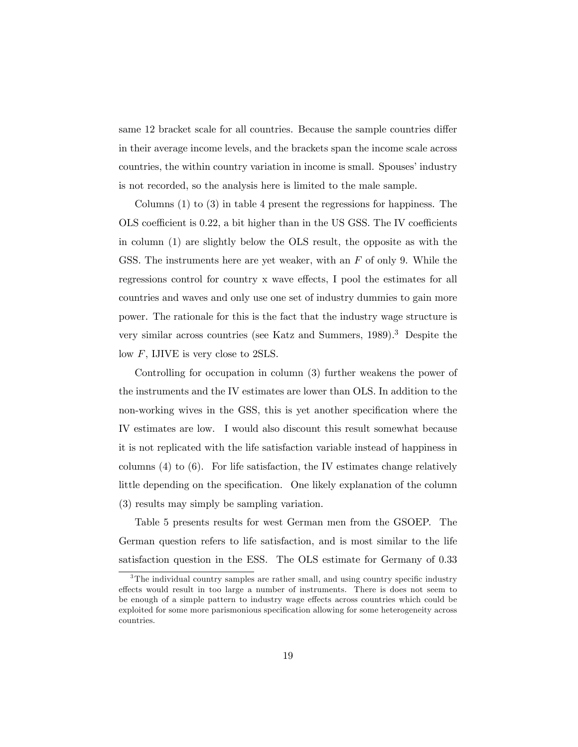same 12 bracket scale for all countries. Because the sample countries differ in their average income levels, and the brackets span the income scale across countries, the within country variation in income is small. Spouses' industry is not recorded, so the analysis here is limited to the male sample.

Columns (1) to (3) in table 4 present the regressions for happiness. The OLS coefficient is  $0.22$ , a bit higher than in the US GSS. The IV coefficients in column (1) are slightly below the OLS result, the opposite as with the GSS. The instruments here are yet weaker, with an  $F$  of only 9. While the regressions control for country x wave effects, I pool the estimates for all countries and waves and only use one set of industry dummies to gain more power. The rationale for this is the fact that the industry wage structure is very similar across countries (see Katz and Summers, 1989).<sup>3</sup> Despite the low F, IJIVE is very close to 2SLS.

Controlling for occupation in column (3) further weakens the power of the instruments and the IV estimates are lower than OLS. In addition to the non-working wives in the GSS, this is yet another specification where the IV estimates are low. I would also discount this result somewhat because it is not replicated with the life satisfaction variable instead of happiness in columns (4) to (6). For life satisfaction, the IV estimates change relatively little depending on the specification. One likely explanation of the column (3) results may simply be sampling variation.

Table 5 presents results for west German men from the GSOEP. The German question refers to life satisfaction, and is most similar to the life satisfaction question in the ESS. The OLS estimate for Germany of 0.33

 $3$ The individual country samples are rather small, and using country specific industry effects would result in too large a number of instruments. There is does not seem to be enough of a simple pattern to industry wage effects across countries which could be exploited for some more parismonious specification allowing for some heterogeneity across countries.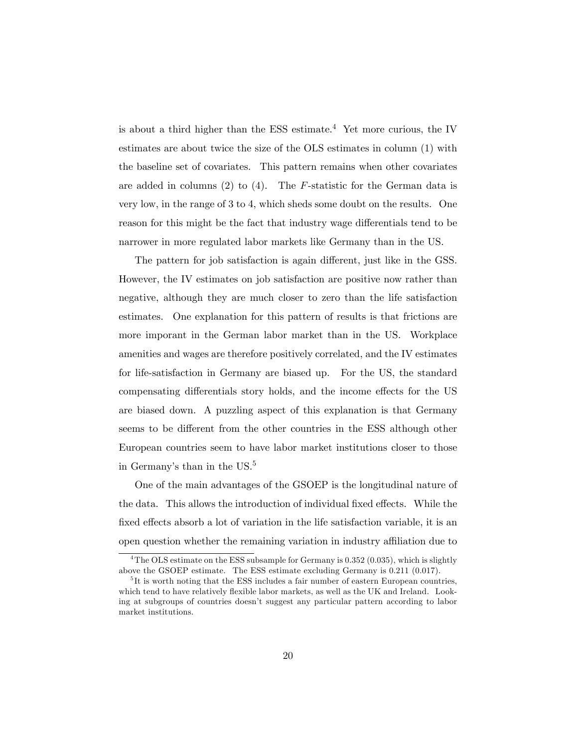is about a third higher than the ESS estimate.<sup>4</sup> Yet more curious, the IV estimates are about twice the size of the OLS estimates in column (1) with the baseline set of covariates. This pattern remains when other covariates are added in columns  $(2)$  to  $(4)$ . The *F*-statistic for the German data is very low, in the range of 3 to 4, which sheds some doubt on the results. One reason for this might be the fact that industry wage differentials tend to be narrower in more regulated labor markets like Germany than in the US.

The pattern for job satisfaction is again different, just like in the GSS. However, the IV estimates on job satisfaction are positive now rather than negative, although they are much closer to zero than the life satisfaction estimates. One explanation for this pattern of results is that frictions are more imporant in the German labor market than in the US. Workplace amenities and wages are therefore positively correlated, and the IV estimates for life-satisfaction in Germany are biased up. For the US, the standard compensating differentials story holds, and the income effects for the US are biased down. A puzzling aspect of this explanation is that Germany seems to be different from the other countries in the ESS although other European countries seem to have labor market institutions closer to those in Germany's than in the US.<sup>5</sup>

One of the main advantages of the GSOEP is the longitudinal nature of the data. This allows the introduction of individual fixed effects. While the fixed effects absorb a lot of variation in the life satisfaction variable, it is an open question whether the remaining variation in industry affiliation due to

<sup>&</sup>lt;sup>4</sup>The OLS estimate on the ESS subsample for Germany is  $0.352 (0.035)$ , which is slightly above the GSOEP estimate. The ESS estimate excluding Germany is 0.211 (0.017).

<sup>&</sup>lt;sup>5</sup>It is worth noting that the ESS includes a fair number of eastern European countries, which tend to have relatively flexible labor markets, as well as the UK and Ireland. Looking at subgroups of countries doesnít suggest any particular pattern according to labor market institutions.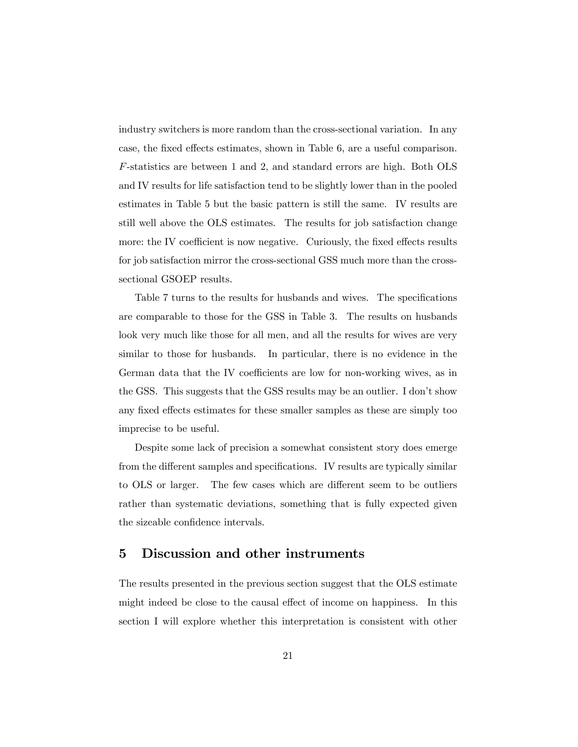industry switchers is more random than the cross-sectional variation. In any case, the fixed effects estimates, shown in Table 6, are a useful comparison. F-statistics are between 1 and 2, and standard errors are high. Both OLS and IV results for life satisfaction tend to be slightly lower than in the pooled estimates in Table 5 but the basic pattern is still the same. IV results are still well above the OLS estimates. The results for job satisfaction change more: the IV coefficient is now negative. Curiously, the fixed effects results for job satisfaction mirror the cross-sectional GSS much more than the crosssectional GSOEP results.

Table 7 turns to the results for husbands and wives. The specifications are comparable to those for the GSS in Table 3. The results on husbands look very much like those for all men, and all the results for wives are very similar to those for husbands. In particular, there is no evidence in the German data that the IV coefficients are low for non-working wives, as in the GSS. This suggests that the GSS results may be an outlier. I don't show any fixed effects estimates for these smaller samples as these are simply too imprecise to be useful.

Despite some lack of precision a somewhat consistent story does emerge from the different samples and specifications. IV results are typically similar to OLS or larger. The few cases which are different seem to be outliers rather than systematic deviations, something that is fully expected given the sizeable confidence intervals.

#### 5 Discussion and other instruments

The results presented in the previous section suggest that the OLS estimate might indeed be close to the causal effect of income on happiness. In this section I will explore whether this interpretation is consistent with other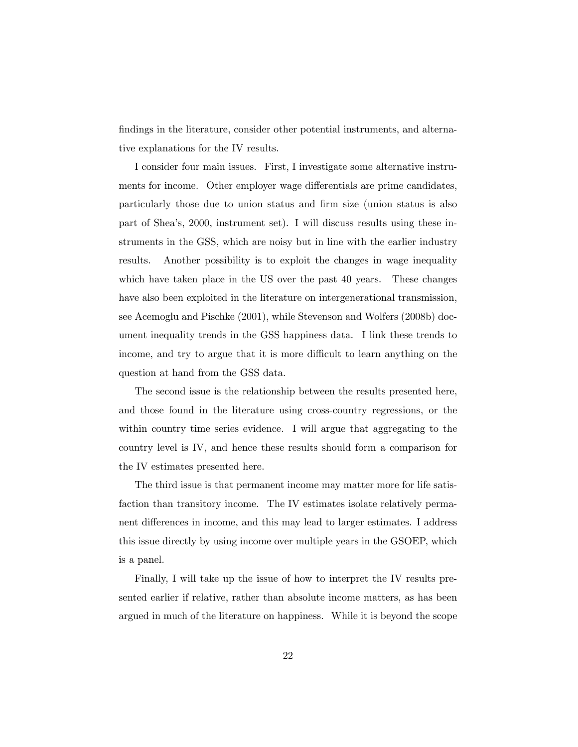findings in the literature, consider other potential instruments, and alternative explanations for the IV results.

I consider four main issues. First, I investigate some alternative instruments for income. Other employer wage differentials are prime candidates, particularly those due to union status and Örm size (union status is also part of Sheaís, 2000, instrument set). I will discuss results using these instruments in the GSS, which are noisy but in line with the earlier industry results. Another possibility is to exploit the changes in wage inequality which have taken place in the US over the past 40 years. These changes have also been exploited in the literature on intergenerational transmission, see Acemoglu and Pischke (2001), while Stevenson and Wolfers (2008b) document inequality trends in the GSS happiness data. I link these trends to income, and try to argue that it is more difficult to learn anything on the question at hand from the GSS data.

The second issue is the relationship between the results presented here, and those found in the literature using cross-country regressions, or the within country time series evidence. I will argue that aggregating to the country level is IV, and hence these results should form a comparison for the IV estimates presented here.

The third issue is that permanent income may matter more for life satisfaction than transitory income. The IV estimates isolate relatively permanent differences in income, and this may lead to larger estimates. I address this issue directly by using income over multiple years in the GSOEP, which is a panel.

Finally, I will take up the issue of how to interpret the IV results presented earlier if relative, rather than absolute income matters, as has been argued in much of the literature on happiness. While it is beyond the scope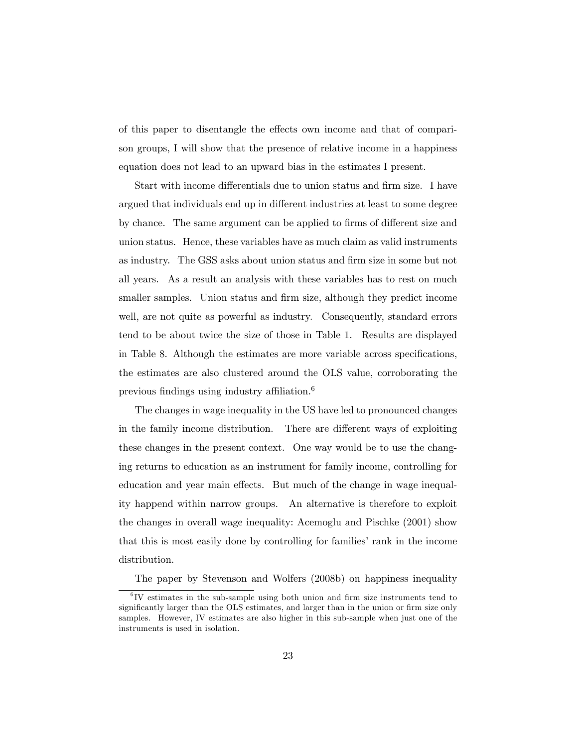of this paper to disentangle the effects own income and that of comparison groups, I will show that the presence of relative income in a happiness equation does not lead to an upward bias in the estimates I present.

Start with income differentials due to union status and firm size. I have argued that individuals end up in different industries at least to some degree by chance. The same argument can be applied to firms of different size and union status. Hence, these variables have as much claim as valid instruments as industry. The GSS asks about union status and Örm size in some but not all years. As a result an analysis with these variables has to rest on much smaller samples. Union status and firm size, although they predict income well, are not quite as powerful as industry. Consequently, standard errors tend to be about twice the size of those in Table 1. Results are displayed in Table 8. Although the estimates are more variable across specifications, the estimates are also clustered around the OLS value, corroborating the previous findings using industry affiliation.<sup>6</sup>

The changes in wage inequality in the US have led to pronounced changes in the family income distribution. There are different ways of exploiting these changes in the present context. One way would be to use the changing returns to education as an instrument for family income, controlling for education and year main effects. But much of the change in wage inequality happend within narrow groups. An alternative is therefore to exploit the changes in overall wage inequality: Acemoglu and Pischke (2001) show that this is most easily done by controlling for families' rank in the income distribution.

The paper by Stevenson and Wolfers (2008b) on happiness inequality

 ${}^{6}$ IV estimates in the sub-sample using both union and firm size instruments tend to significantly larger than the OLS estimates, and larger than in the union or firm size only samples. However, IV estimates are also higher in this sub-sample when just one of the instruments is used in isolation.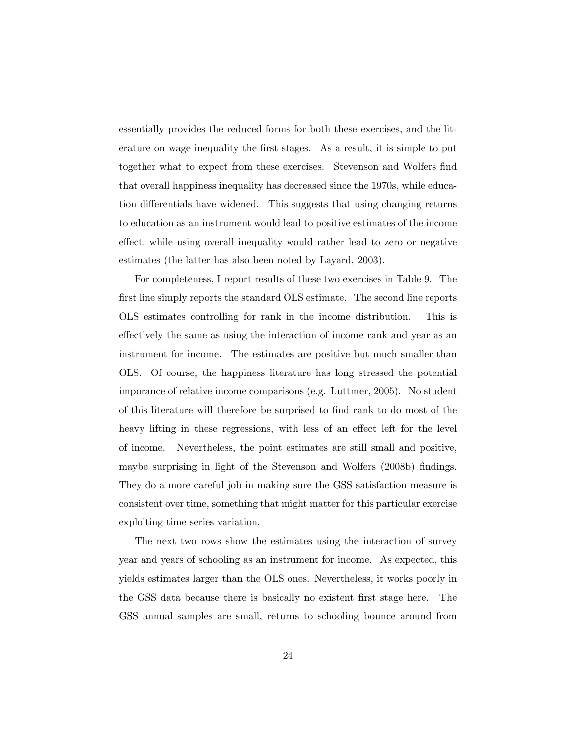essentially provides the reduced forms for both these exercises, and the literature on wage inequality the first stages. As a result, it is simple to put together what to expect from these exercises. Stevenson and Wolfers find that overall happiness inequality has decreased since the 1970s, while education differentials have widened. This suggests that using changing returns to education as an instrument would lead to positive estimates of the income effect, while using overall inequality would rather lead to zero or negative estimates (the latter has also been noted by Layard, 2003).

For completeness, I report results of these two exercises in Table 9. The first line simply reports the standard OLS estimate. The second line reports OLS estimates controlling for rank in the income distribution. This is effectively the same as using the interaction of income rank and year as an instrument for income. The estimates are positive but much smaller than OLS. Of course, the happiness literature has long stressed the potential imporance of relative income comparisons (e.g. Luttmer, 2005). No student of this literature will therefore be surprised to Önd rank to do most of the heavy lifting in these regressions, with less of an effect left for the level of income. Nevertheless, the point estimates are still small and positive, maybe surprising in light of the Stevenson and Wolfers (2008b) findings. They do a more careful job in making sure the GSS satisfaction measure is consistent over time, something that might matter for this particular exercise exploiting time series variation.

The next two rows show the estimates using the interaction of survey year and years of schooling as an instrument for income. As expected, this yields estimates larger than the OLS ones. Nevertheless, it works poorly in the GSS data because there is basically no existent first stage here. The GSS annual samples are small, returns to schooling bounce around from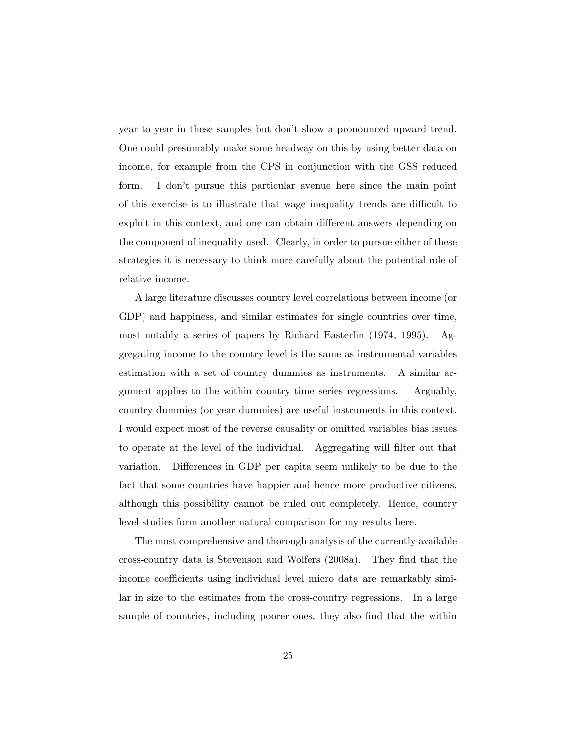year to year in these samples but don't show a pronounced upward trend. One could presumably make some headway on this by using better data on income, for example from the CPS in conjunction with the GSS reduced form. I donít pursue this particular avenue here since the main point of this exercise is to illustrate that wage inequality trends are difficult to exploit in this context, and one can obtain different answers depending on the component of inequality used. Clearly, in order to pursue either of these strategies it is necessary to think more carefully about the potential role of relative income.

A large literature discusses country level correlations between income (or GDP) and happiness, and similar estimates for single countries over time, most notably a series of papers by Richard Easterlin (1974, 1995). Aggregating income to the country level is the same as instrumental variables estimation with a set of country dummies as instruments. A similar argument applies to the within country time series regressions. Arguably, country dummies (or year dummies) are useful instruments in this context. I would expect most of the reverse causality or omitted variables bias issues to operate at the level of the individual. Aggregating will filter out that variation. Differences in GDP per capita seem unlikely to be due to the fact that some countries have happier and hence more productive citizens, although this possibility cannot be ruled out completely. Hence, country level studies form another natural comparison for my results here.

The most comprehensive and thorough analysis of the currently available cross-country data is Stevenson and Wolfers (2008a). They Önd that the income coefficients using individual level micro data are remarkably similar in size to the estimates from the cross-country regressions. In a large sample of countries, including poorer ones, they also find that the within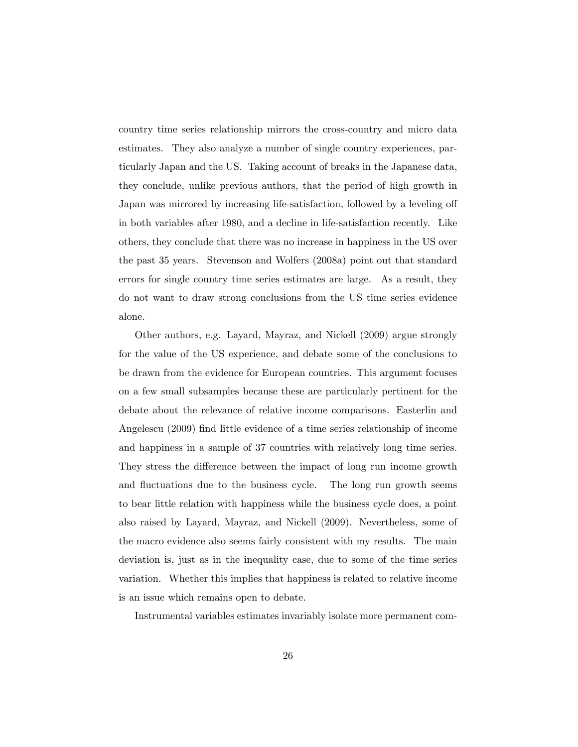country time series relationship mirrors the cross-country and micro data estimates. They also analyze a number of single country experiences, particularly Japan and the US. Taking account of breaks in the Japanese data, they conclude, unlike previous authors, that the period of high growth in Japan was mirrored by increasing life-satisfaction, followed by a leveling off in both variables after 1980, and a decline in life-satisfaction recently. Like others, they conclude that there was no increase in happiness in the US over the past 35 years. Stevenson and Wolfers (2008a) point out that standard errors for single country time series estimates are large. As a result, they do not want to draw strong conclusions from the US time series evidence alone.

Other authors, e.g. Layard, Mayraz, and Nickell (2009) argue strongly for the value of the US experience, and debate some of the conclusions to be drawn from the evidence for European countries. This argument focuses on a few small subsamples because these are particularly pertinent for the debate about the relevance of relative income comparisons. Easterlin and Angelescu (2009) find little evidence of a time series relationship of income and happiness in a sample of 37 countries with relatively long time series. They stress the difference between the impact of long run income growth and fluctuations due to the business cycle. The long run growth seems to bear little relation with happiness while the business cycle does, a point also raised by Layard, Mayraz, and Nickell (2009). Nevertheless, some of the macro evidence also seems fairly consistent with my results. The main deviation is, just as in the inequality case, due to some of the time series variation. Whether this implies that happiness is related to relative income is an issue which remains open to debate.

Instrumental variables estimates invariably isolate more permanent com-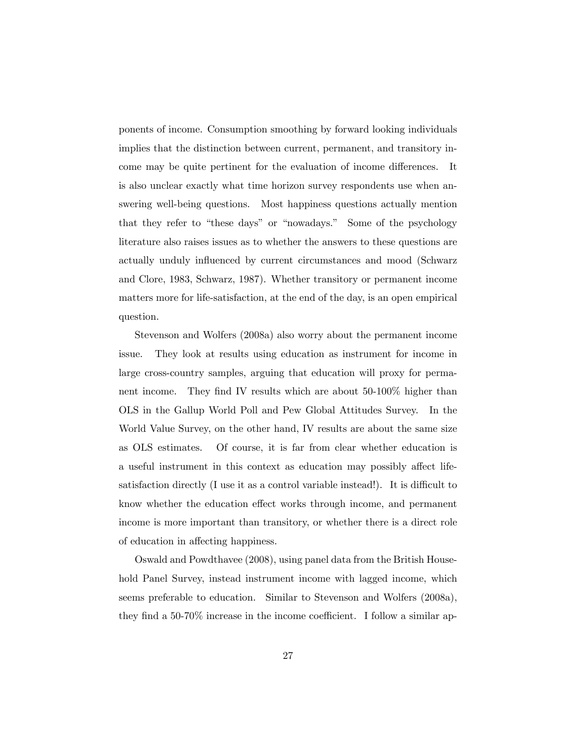ponents of income. Consumption smoothing by forward looking individuals implies that the distinction between current, permanent, and transitory income may be quite pertinent for the evaluation of income differences. It is also unclear exactly what time horizon survey respondents use when answering well-being questions. Most happiness questions actually mention that they refer to "these days" or "nowadays." Some of the psychology literature also raises issues as to whether the answers to these questions are actually unduly influenced by current circumstances and mood (Schwarz and Clore, 1983, Schwarz, 1987). Whether transitory or permanent income matters more for life-satisfaction, at the end of the day, is an open empirical question.

Stevenson and Wolfers (2008a) also worry about the permanent income issue. They look at results using education as instrument for income in large cross-country samples, arguing that education will proxy for permanent income. They find IV results which are about 50-100% higher than OLS in the Gallup World Poll and Pew Global Attitudes Survey. In the World Value Survey, on the other hand, IV results are about the same size as OLS estimates. Of course, it is far from clear whether education is a useful instrument in this context as education may possibly affect lifesatisfaction directly (I use it as a control variable instead!). It is difficult to know whether the education effect works through income, and permanent income is more important than transitory, or whether there is a direct role of education in affecting happiness.

Oswald and Powdthavee (2008), using panel data from the British Household Panel Survey, instead instrument income with lagged income, which seems preferable to education. Similar to Stevenson and Wolfers (2008a), they find a  $50-70\%$  increase in the income coefficient. I follow a similar ap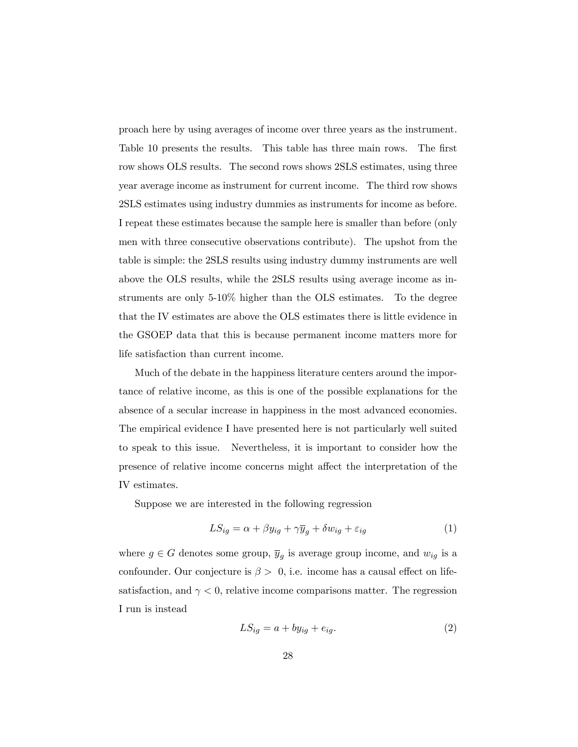proach here by using averages of income over three years as the instrument. Table 10 presents the results. This table has three main rows. The first row shows OLS results. The second rows shows 2SLS estimates, using three year average income as instrument for current income. The third row shows 2SLS estimates using industry dummies as instruments for income as before. I repeat these estimates because the sample here is smaller than before (only men with three consecutive observations contribute). The upshot from the table is simple: the 2SLS results using industry dummy instruments are well above the OLS results, while the 2SLS results using average income as instruments are only 5-10% higher than the OLS estimates. To the degree that the IV estimates are above the OLS estimates there is little evidence in the GSOEP data that this is because permanent income matters more for life satisfaction than current income.

Much of the debate in the happiness literature centers around the importance of relative income, as this is one of the possible explanations for the absence of a secular increase in happiness in the most advanced economies. The empirical evidence I have presented here is not particularly well suited to speak to this issue. Nevertheless, it is important to consider how the presence of relative income concerns might affect the interpretation of the IV estimates.

Suppose we are interested in the following regression

$$
LS_{ig} = \alpha + \beta y_{ig} + \gamma \overline{y}_g + \delta w_{ig} + \varepsilon_{ig}
$$
 (1)

where  $g \in G$  denotes some group,  $\overline{y}_g$  is average group income, and  $w_{ig}$  is a confounder. Our conjecture is  $\beta > 0$ , i.e. income has a causal effect on lifesatisfaction, and  $\gamma < 0$ , relative income comparisons matter. The regression I run is instead

$$
LS_{ig} = a + by_{ig} + e_{ig}.\tag{2}
$$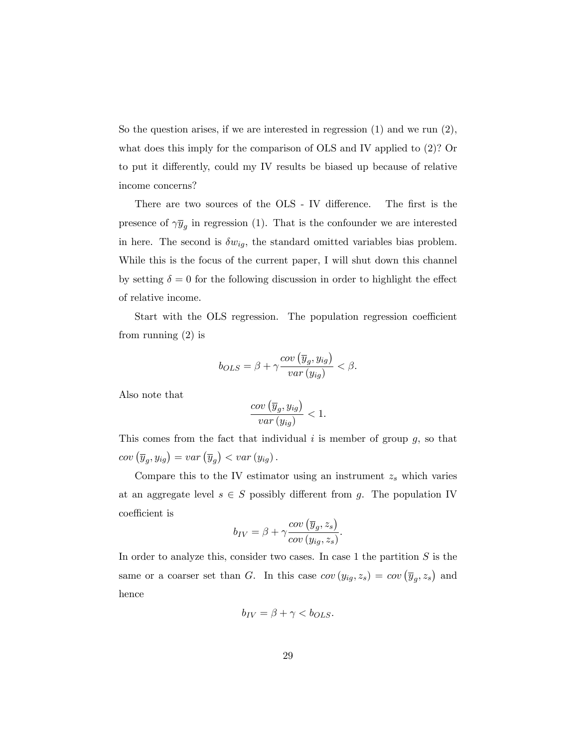So the question arises, if we are interested in regression (1) and we run (2), what does this imply for the comparison of OLS and IV applied to (2)? Or to put it differently, could my IV results be biased up because of relative income concerns?

There are two sources of the OLS - IV difference. The first is the presence of  $\gamma y_g$  in regression (1). That is the confounder we are interested in here. The second is  $\delta w_{ig}$ , the standard omitted variables bias problem. While this is the focus of the current paper, I will shut down this channel by setting  $\delta = 0$  for the following discussion in order to highlight the effect of relative income.

Start with the OLS regression. The population regression coefficient from running (2) is

$$
b_{OLS} = \beta + \gamma \frac{cov\left(\overline{y}_g, y_{ig}\right)}{var\left(y_{ig}\right)} < \beta.
$$

Also note that

$$
\frac{cov\left(\overline{y}_g, y_{ig}\right)}{var\left(y_{ig}\right)} < 1.
$$

This comes from the fact that individual  $i$  is member of group  $g$ , so that  $cov\left(\overline{y}_g, y_{ig}\right) = var\left(\overline{y}_g\right) < var\left(y_{ig}\right).$ 

Compare this to the IV estimator using an instrument  $z_s$  which varies at an aggregate level  $s \in S$  possibly different from g. The population IV coefficient is

$$
b_{IV} = \beta + \gamma \frac{cov\left(\overline{y}_g, z_s\right)}{cov\left(y_{ig}, z_s\right)}.
$$

In order to analyze this, consider two cases. In case 1 the partition  $S$  is the same or a coarser set than G. In this case  $cov(y_{ig}, z_s) = cov(\overline{y}_g, z_s)$  and hence

$$
b_{IV} = \beta + \gamma < b_{OLS}.
$$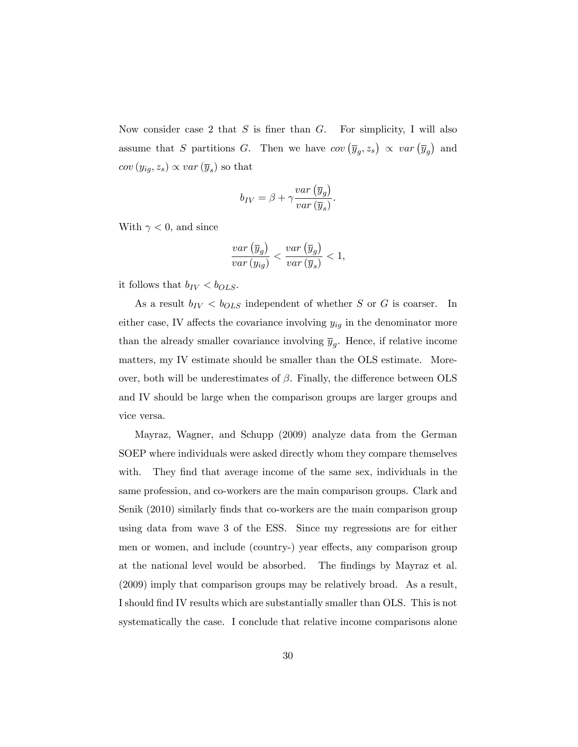Now consider case 2 that  $S$  is finer than  $G$ . For simplicity, I will also assume that S partitions G. Then we have  $cov(\overline{y}_g, z_s) \propto var(\overline{y}_g)$  and  $cov(y_{ig}, z_s) \propto var(\overline{y}_s)$  so that

$$
b_{IV} = \beta + \gamma \frac{var\left(\overline{y}_g\right)}{var\left(\overline{y}_s\right)}.
$$

With  $\gamma < 0$ , and since

$$
\frac{var\left(\overline{y}_g\right)}{var\left(y_{ig}\right)} < \frac{var\left(\overline{y}_g\right)}{var\left(\overline{y}_s\right)} < 1,
$$

it follows that  $b_{IV} < b_{OLS}$ .

As a result  $b_{IV} < b_{OLS}$  independent of whether S or G is coarser. In either case, IV affects the covariance involving  $y_{ig}$  in the denominator more than the already smaller covariance involving  $\overline{y}_g$ . Hence, if relative income matters, my IV estimate should be smaller than the OLS estimate. Moreover, both will be underestimates of  $\beta$ . Finally, the difference between OLS and IV should be large when the comparison groups are larger groups and vice versa.

Mayraz, Wagner, and Schupp (2009) analyze data from the German SOEP where individuals were asked directly whom they compare themselves with. They find that average income of the same sex, individuals in the same profession, and co-workers are the main comparison groups. Clark and Senik (2010) similarly finds that co-workers are the main comparison group using data from wave 3 of the ESS. Since my regressions are for either men or women, and include (country-) year effects, any comparison group at the national level would be absorbed. The Öndings by Mayraz et al. (2009) imply that comparison groups may be relatively broad. As a result, I should Önd IV results which are substantially smaller than OLS. This is not systematically the case. I conclude that relative income comparisons alone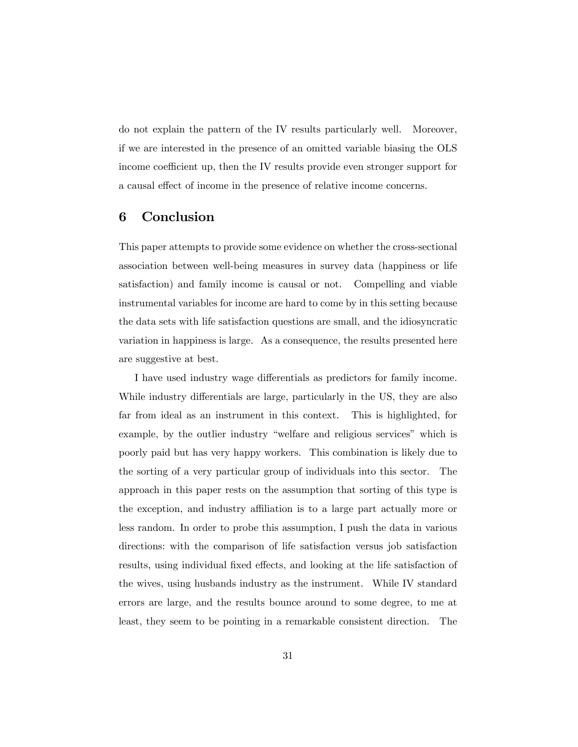do not explain the pattern of the IV results particularly well. Moreover, if we are interested in the presence of an omitted variable biasing the OLS income coefficient up, then the IV results provide even stronger support for a causal effect of income in the presence of relative income concerns.

#### 6 Conclusion

This paper attempts to provide some evidence on whether the cross-sectional association between well-being measures in survey data (happiness or life satisfaction) and family income is causal or not. Compelling and viable instrumental variables for income are hard to come by in this setting because the data sets with life satisfaction questions are small, and the idiosyncratic variation in happiness is large. As a consequence, the results presented here are suggestive at best.

I have used industry wage differentials as predictors for family income. While industry differentials are large, particularly in the US, they are also far from ideal as an instrument in this context. This is highlighted, for example, by the outlier industry "welfare and religious services" which is poorly paid but has very happy workers. This combination is likely due to the sorting of a very particular group of individuals into this sector. The approach in this paper rests on the assumption that sorting of this type is the exception, and industry affiliation is to a large part actually more or less random. In order to probe this assumption, I push the data in various directions: with the comparison of life satisfaction versus job satisfaction results, using individual fixed effects, and looking at the life satisfaction of the wives, using husbands industry as the instrument. While IV standard errors are large, and the results bounce around to some degree, to me at least, they seem to be pointing in a remarkable consistent direction. The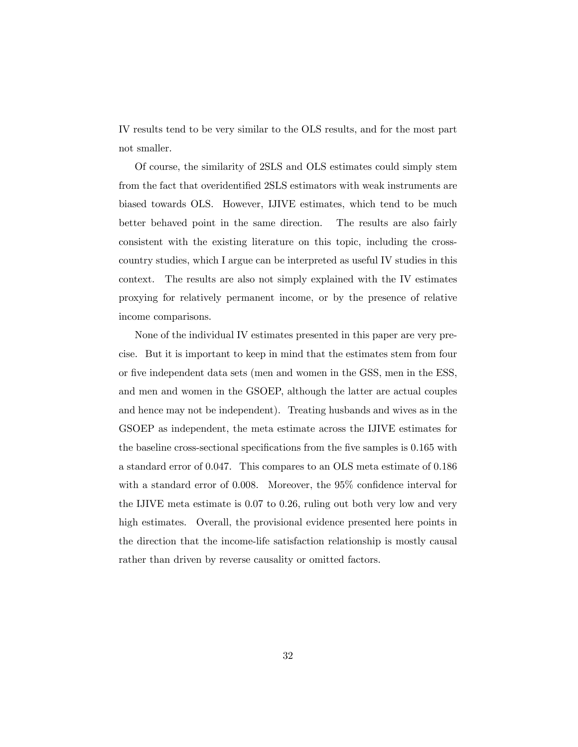IV results tend to be very similar to the OLS results, and for the most part not smaller.

Of course, the similarity of 2SLS and OLS estimates could simply stem from the fact that overidentified 2SLS estimators with weak instruments are biased towards OLS. However, IJIVE estimates, which tend to be much better behaved point in the same direction. The results are also fairly consistent with the existing literature on this topic, including the crosscountry studies, which I argue can be interpreted as useful IV studies in this context. The results are also not simply explained with the IV estimates proxying for relatively permanent income, or by the presence of relative income comparisons.

None of the individual IV estimates presented in this paper are very precise. But it is important to keep in mind that the estimates stem from four or five independent data sets (men and women in the GSS, men in the ESS, and men and women in the GSOEP, although the latter are actual couples and hence may not be independent). Treating husbands and wives as in the GSOEP as independent, the meta estimate across the IJIVE estimates for the baseline cross-sectional specifications from the five samples is 0.165 with a standard error of 0.047. This compares to an OLS meta estimate of 0.186 with a standard error of  $0.008$ . Moreover, the  $95\%$  confidence interval for the IJIVE meta estimate is 0.07 to 0.26, ruling out both very low and very high estimates. Overall, the provisional evidence presented here points in the direction that the income-life satisfaction relationship is mostly causal rather than driven by reverse causality or omitted factors.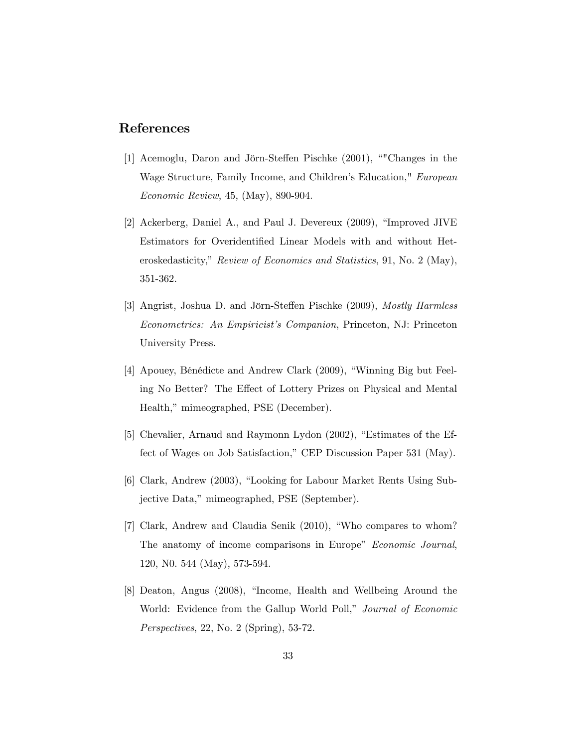#### References

- [1] Acemoglu, Daron and Jörn-Steffen Pischke  $(2001)$ , ""Changes in the Wage Structure, Family Income, and Children's Education," European Economic Review, 45, (May), 890-904.
- [2] Ackerberg, Daniel A., and Paul J. Devereux (2009), "Improved JIVE Estimators for Overidentified Linear Models with and without Heteroskedasticity," Review of Economics and Statistics, 91, No. 2 (May), 351-362.
- [3] Angrist, Joshua D. and Jörn-Steffen Pischke (2009), *Mostly Harmless* Econometrics: An Empiricist's Companion, Princeton, NJ: Princeton University Press.
- [4] Apouey, Bénédicte and Andrew Clark (2009), "Winning Big but Feeling No Better? The Effect of Lottery Prizes on Physical and Mental Health," mimeographed, PSE (December).
- [5] Chevalier, Arnaud and Raymonn Lydon (2002), "Estimates of the Effect of Wages on Job Satisfaction," CEP Discussion Paper 531 (May).
- [6] Clark, Andrew (2003), "Looking for Labour Market Rents Using Subjective Data," mimeographed, PSE (September).
- $[7]$  Clark, Andrew and Claudia Senik  $(2010)$ , "Who compares to whom? The anatomy of income comparisons in Europe" Economic Journal, 120, N0. 544 (May), 573-594.
- [8] Deaton, Angus (2008), "Income, Health and Wellbeing Around the World: Evidence from the Gallup World Poll," Journal of Economic Perspectives, 22, No. 2 (Spring), 53-72.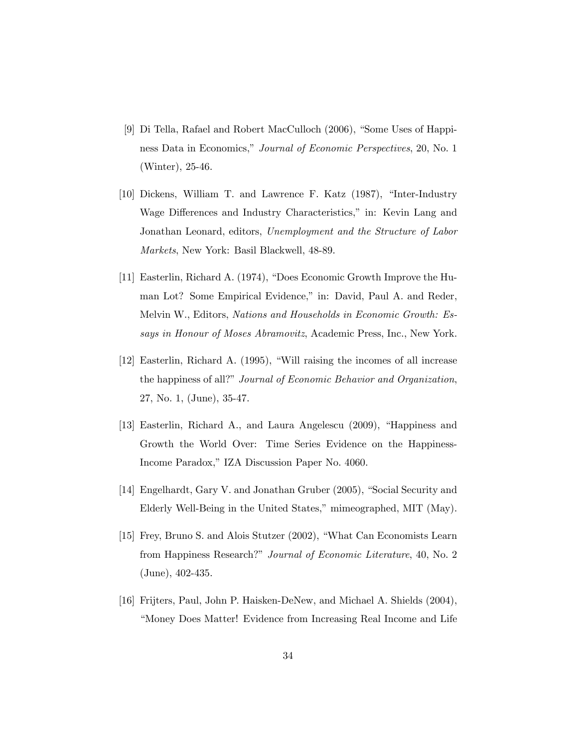- [9] Di Tella, Rafael and Robert MacCulloch (2006), "Some Uses of Happiness Data in Economics," Journal of Economic Perspectives, 20, No. 1 (Winter), 25-46.
- [10] Dickens, William T. and Lawrence F. Katz  $(1987)$ , "Inter-Industry Wage Differences and Industry Characteristics," in: Kevin Lang and Jonathan Leonard, editors, Unemployment and the Structure of Labor Markets, New York: Basil Blackwell, 48-89.
- [11] Easterlin, Richard A.  $(1974)$ , "Does Economic Growth Improve the Human Lot? Some Empirical Evidence," in: David, Paul A. and Reder, Melvin W., Editors, Nations and Households in Economic Growth: Essays in Honour of Moses Abramovitz, Academic Press, Inc., New York.
- $[12]$  Easterlin, Richard A. (1995), "Will raising the incomes of all increase the happiness of all?" Journal of Economic Behavior and Organization, 27, No. 1, (June), 35-47.
- [13] Easterlin, Richard A., and Laura Angelescu (2009), "Happiness and Growth the World Over: Time Series Evidence on the Happiness-Income Paradox,î IZA Discussion Paper No. 4060.
- [14] Engelhardt, Gary V. and Jonathan Gruber (2005), "Social Security and Elderly Well-Being in the United States," mimeographed, MIT (May).
- [15] Frey, Bruno S. and Alois Stutzer (2002), "What Can Economists Learn from Happiness Research?" Journal of Economic Literature, 40, No. 2 (June), 402-435.
- [16] Frijters, Paul, John P. Haisken-DeNew, and Michael A. Shields (2004), ìMoney Does Matter! Evidence from Increasing Real Income and Life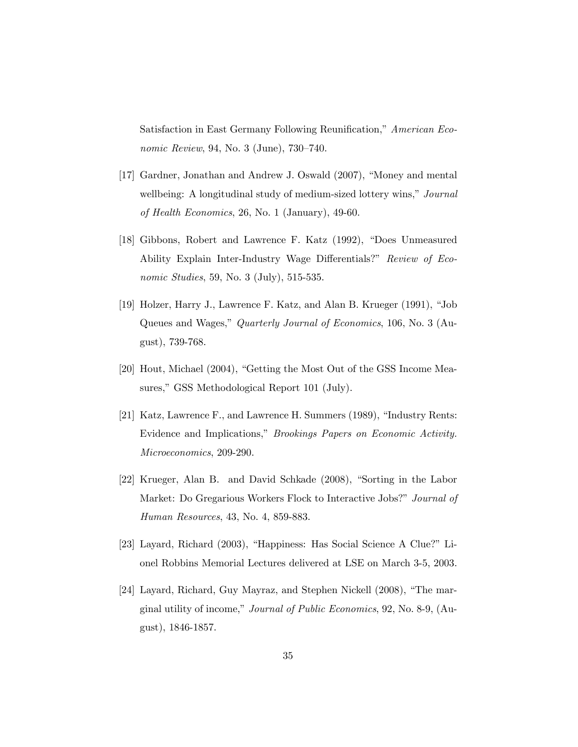Satisfaction in East Germany Following Reunification," American Economic Review, 94, No. 3 (June),  $730-740$ .

- [17] Gardner, Jonathan and Andrew J. Oswald (2007), "Money and mental wellbeing: A longitudinal study of medium-sized lottery wins," Journal of Health Economics, 26, No. 1 (January), 49-60.
- [18] Gibbons, Robert and Lawrence F. Katz (1992), "Does Unmeasured Ability Explain Inter-Industry Wage Differentials?" Review of Economic Studies, 59, No. 3 (July), 515-535.
- [19] Holzer, Harry J., Lawrence F. Katz, and Alan B. Krueger  $(1991)$ , "Job Queues and Wages," *Quarterly Journal of Economics*, 106, No. 3 (August), 739-768.
- [20] Hout, Michael (2004), "Getting the Most Out of the GSS Income Measures," GSS Methodological Report 101 (July).
- [21] Katz, Lawrence F., and Lawrence H. Summers (1989), "Industry Rents: Evidence and Implications," *Brookings Papers on Economic Activity.* Microeconomics, 209-290.
- $[22]$  Krueger, Alan B. and David Schkade  $(2008)$ , "Sorting in the Labor Market: Do Gregarious Workers Flock to Interactive Jobs?" Journal of Human Resources, 43, No. 4, 859-883.
- [23] Layard, Richard (2003), "Happiness: Has Social Science A Clue?" Lionel Robbins Memorial Lectures delivered at LSE on March 3-5, 2003.
- [24] Layard, Richard, Guy Mayraz, and Stephen Nickell (2008), "The marginal utility of income," Journal of Public Economics, 92, No. 8-9, (August), 1846-1857.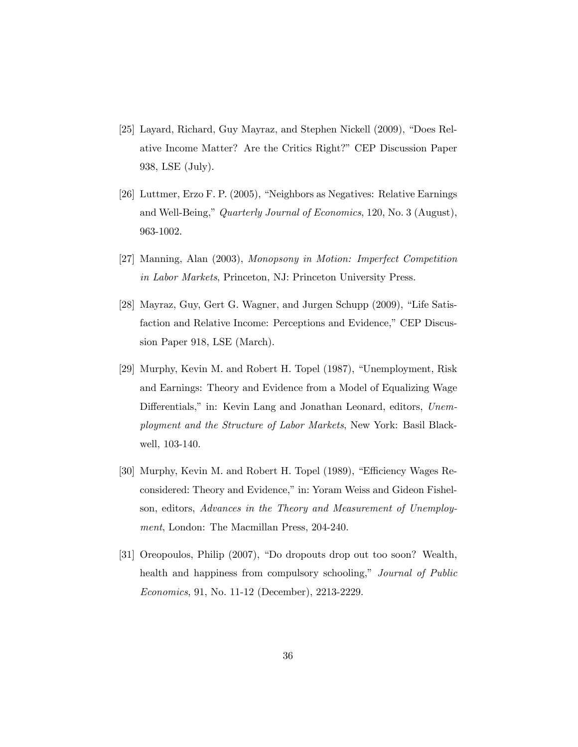- [25] Layard, Richard, Guy Mayraz, and Stephen Nickell (2009), "Does Relative Income Matter? Are the Critics Right?î CEP Discussion Paper 938, LSE (July).
- [26] Luttmer, Erzo F. P. (2005), "Neighbors as Negatives: Relative Earnings and Well-Being," Quarterly Journal of Economics, 120, No. 3 (August), 963-1002.
- [27] Manning, Alan (2003), Monopsony in Motion: Imperfect Competition in Labor Markets, Princeton, NJ: Princeton University Press.
- [28] Mayraz, Guy, Gert G. Wagner, and Jurgen Schupp (2009), "Life Satisfaction and Relative Income: Perceptions and Evidence," CEP Discussion Paper 918, LSE (March).
- [29] Murphy, Kevin M. and Robert H. Topel (1987), "Unemployment, Risk and Earnings: Theory and Evidence from a Model of Equalizing Wage Differentials," in: Kevin Lang and Jonathan Leonard, editors, Unemployment and the Structure of Labor Markets, New York: Basil Blackwell, 103-140.
- [30] Murphy, Kevin M. and Robert H. Topel (1989), "Efficiency Wages Reconsidered: Theory and Evidence," in: Yoram Weiss and Gideon Fishelson, editors, Advances in the Theory and Measurement of Unemployment, London: The Macmillan Press, 204-240.
- [31] Oreopoulos, Philip (2007), "Do dropouts drop out too soon? Wealth, health and happiness from compulsory schooling," Journal of Public Economics, 91, No. 11-12 (December), 2213-2229.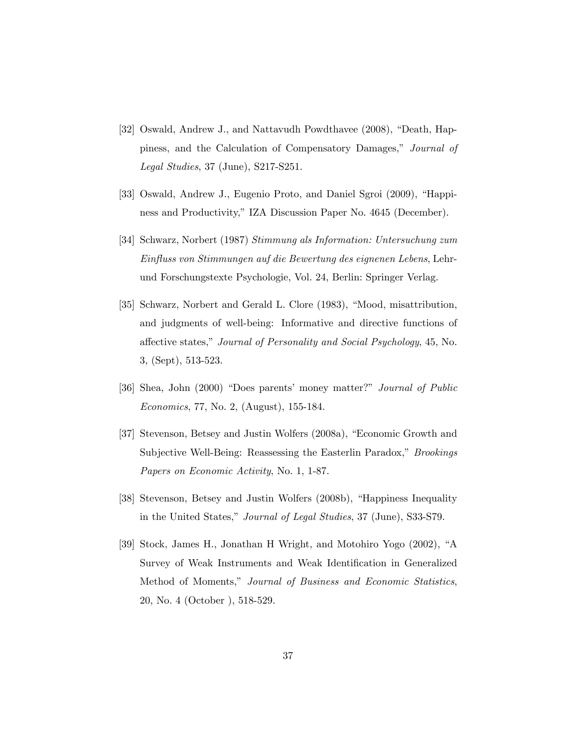- [32] Oswald, Andrew J., and Nattavudh Powdthavee (2008), "Death, Happiness, and the Calculation of Compensatory Damages," Journal of Legal Studies, 37 (June), S217-S251.
- [33] Oswald, Andrew J., Eugenio Proto, and Daniel Sgroi (2009), "Happiness and Productivity," IZA Discussion Paper No. 4645 (December).
- [34] Schwarz, Norbert (1987) Stimmung als Information: Untersuchung zum Einfluss von Stimmungen auf die Bewertung des eignenen Lebens, Lehrund Forschungstexte Psychologie, Vol. 24, Berlin: Springer Verlag.
- [35] Schwarz, Norbert and Gerald L. Clore (1983), "Mood, misattribution, and judgments of well-being: Informative and directive functions of affective states," Journal of Personality and Social Psychology, 45, No. 3, (Sept), 513-523.
- [36] Shea, John (2000) "Does parents' money matter?" Journal of Public Economics, 77, No. 2, (August), 155-184.
- [37] Stevenson, Betsey and Justin Wolfers (2008a), "Economic Growth and Subjective Well-Being: Reassessing the Easterlin Paradox," *Brookings* Papers on Economic Activity, No. 1, 1-87.
- [38] Stevenson, Betsey and Justin Wolfers (2008b), "Happiness Inequality in the United States," Journal of Legal Studies, 37 (June), S33-S79.
- [39] Stock, James H., Jonathan H Wright, and Motohiro Yogo (2002), "A Survey of Weak Instruments and Weak Identification in Generalized Method of Moments," Journal of Business and Economic Statistics, 20, No. 4 (October ), 518-529.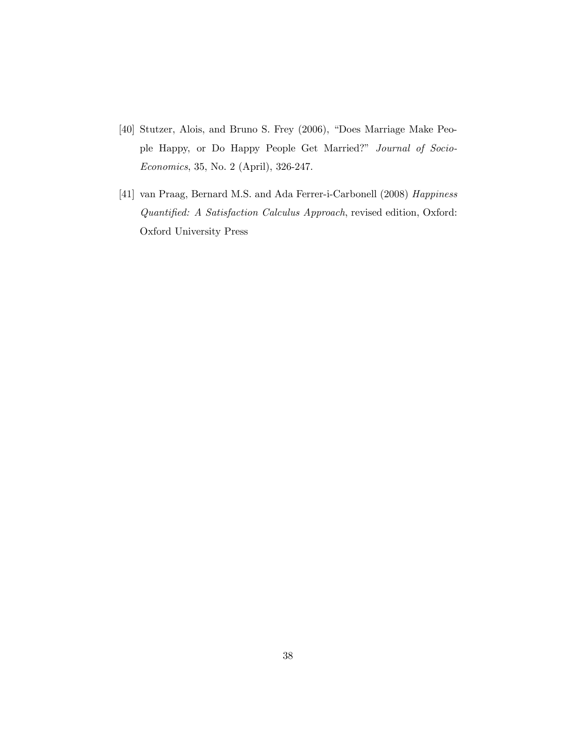- [40] Stutzer, Alois, and Bruno S. Frey (2006), "Does Marriage Make People Happy, or Do Happy People Get Married?" Journal of Socio-Economics, 35, No. 2 (April), 326-247.
- [41] van Praag, Bernard M.S. and Ada Ferrer-i-Carbonell (2008) Happiness Quantified: A Satisfaction Calculus Approach, revised edition, Oxford: Oxford University Press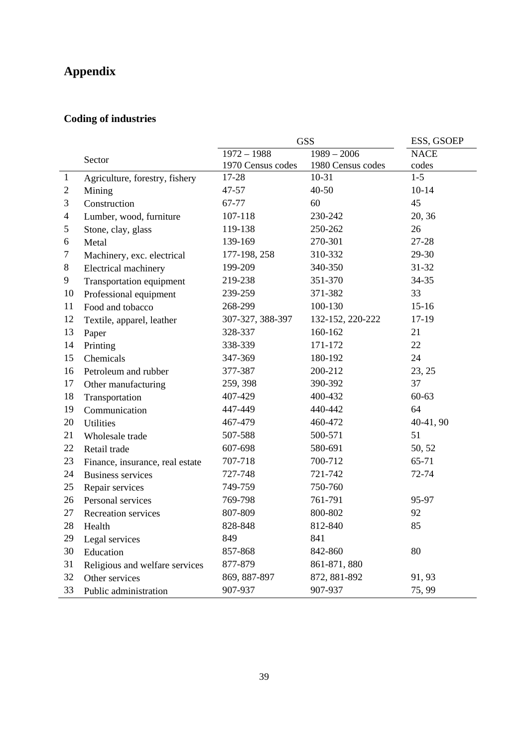# **Appendix**

## **Coding of industries**

|                |                                 | <b>GSS</b>        | ESS, GSOEP        |             |
|----------------|---------------------------------|-------------------|-------------------|-------------|
|                | Sector                          | $1972 - 1988$     | $1989 - 2006$     | <b>NACE</b> |
|                |                                 | 1970 Census codes | 1980 Census codes | codes       |
| $\mathbf{1}$   | Agriculture, forestry, fishery  | 17-28             | $10 - 31$         | $1 - 5$     |
| $\mathbf{2}$   | Mining                          | 47-57             | $40 - 50$         | $10 - 14$   |
| 3              | Construction                    | 67-77             | 60                | 45          |
| $\overline{4}$ | Lumber, wood, furniture         | 107-118           | 230-242           | 20, 36      |
| 5              | Stone, clay, glass              | 119-138           | 250-262           | 26          |
| 6              | Metal                           | 139-169           | 270-301           | 27-28       |
| 7              | Machinery, exc. electrical      | 177-198, 258      | 310-332           | 29-30       |
| 8              | Electrical machinery            | 199-209           | 340-350           | 31-32       |
| 9              | Transportation equipment        | 219-238           | 351-370           | 34-35       |
| 10             | Professional equipment          | 239-259           | 371-382           | 33          |
| 11             | Food and tobacco                | 268-299           | 100-130           | $15 - 16$   |
| 12             | Textile, apparel, leather       | 307-327, 388-397  | 132-152, 220-222  | $17-19$     |
| 13             | Paper                           | 328-337           | 160-162           | 21          |
| 14             | Printing                        | 338-339           | 171-172           | 22          |
| 15             | Chemicals                       | 347-369           | 180-192           | 24          |
| 16             | Petroleum and rubber            | 377-387           | 200-212           | 23, 25      |
| 17             | Other manufacturing             | 259, 398          | 390-392           | 37          |
| 18             | Transportation                  | 407-429           | 400-432           | $60 - 63$   |
| 19             | Communication                   | 447-449           | 440-442           | 64          |
| 20             | <b>Utilities</b>                | 467-479           | 460-472           | 40-41, 90   |
| 21             | Wholesale trade                 | 507-588           | 500-571           | 51          |
| 22             | Retail trade                    | 607-698           | 580-691           | 50, 52      |
| 23             | Finance, insurance, real estate | 707-718           | 700-712           | 65-71       |
| 24             | <b>Business services</b>        | 727-748           | 721-742           | 72-74       |
| 25             | Repair services                 | 749-759           | 750-760           |             |
| 26             | Personal services               | 769-798           | 761-791           | 95-97       |
| 27             | Recreation services             | 807-809           | 800-802           | 92          |
| 28             | Health                          | 828-848           | 812-840           | 85          |
| 29             | Legal services                  | 849               | 841               |             |
| 30             | Education                       | 857-868           | 842-860           | 80          |
| 31             | Religious and welfare services  | 877-879           | 861-871, 880      |             |
| 32             | Other services                  | 869, 887-897      | 872, 881-892      | 91, 93      |
| 33             | Public administration           | 907-937           | 907-937           | 75, 99      |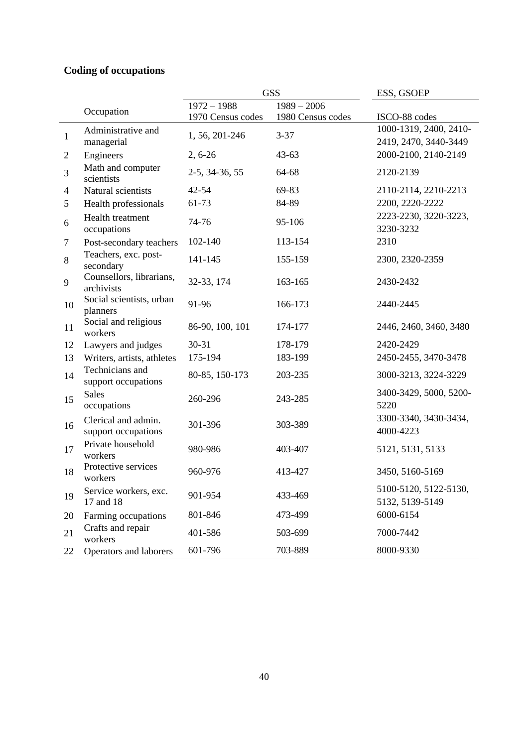## **Coding of occupations**

|              |                                            | <b>GSS</b>                     |                   | ESS, GSOEP                                      |
|--------------|--------------------------------------------|--------------------------------|-------------------|-------------------------------------------------|
|              | Occupation                                 | $1972 - 1988$<br>$1989 - 2006$ |                   |                                                 |
|              |                                            | 1970 Census codes              | 1980 Census codes | ISCO-88 codes                                   |
| $\mathbf{1}$ | Administrative and<br>managerial           | 1, 56, 201-246                 | $3 - 37$          | 1000-1319, 2400, 2410-<br>2419, 2470, 3440-3449 |
| 2            | Engineers                                  | $2, 6-26$                      | $43 - 63$         | 2000-2100, 2140-2149                            |
| 3            | Math and computer<br>scientists            | 2-5, 34-36, 55                 | 64-68             | 2120-2139                                       |
| 4            | Natural scientists                         | $42 - 54$                      | 69-83             | 2110-2114, 2210-2213                            |
| 5            | Health professionals                       | 61-73                          | 84-89             | 2200, 2220-2222                                 |
| 6            | Health treatment<br>occupations            | 74-76                          | 95-106            | 2223-2230, 3220-3223,<br>3230-3232              |
| 7            | Post-secondary teachers                    | 102-140                        | 113-154           | 2310                                            |
| 8            | Teachers, exc. post-<br>secondary          | 141-145                        | 155-159           | 2300, 2320-2359                                 |
| 9            | Counsellors, librarians,<br>archivists     | 32-33, 174                     | 163-165           | 2430-2432                                       |
| 10           | Social scientists, urban<br>planners       | 91-96                          | 166-173           | 2440-2445                                       |
| 11           | Social and religious<br>workers            | 86-90, 100, 101                | 174-177           | 2446, 2460, 3460, 3480                          |
| 12           | Lawyers and judges                         | $30 - 31$                      | 178-179           | 2420-2429                                       |
| 13           | Writers, artists, athletes                 | 175-194                        | 183-199           | 2450-2455, 3470-3478                            |
| 14           | Technicians and<br>support occupations     | 80-85, 150-173                 | 203-235           | 3000-3213, 3224-3229                            |
| 15           | <b>Sales</b><br>occupations                | 260-296                        | 243-285           | 3400-3429, 5000, 5200-<br>5220                  |
| 16           | Clerical and admin.<br>support occupations | 301-396                        | 303-389           | 3300-3340, 3430-3434,<br>4000-4223              |
| 17           | Private household<br>workers               | 980-986                        | 403-407           | 5121, 5131, 5133                                |
| 18           | Protective services<br>workers             | 960-976                        | 413-427           | 3450, 5160-5169                                 |
| 19           | Service workers, exc.<br>17 and 18         | 901-954                        | 433-469           | 5100-5120, 5122-5130,<br>5132, 5139-5149        |
| 20           | Farming occupations                        | 801-846                        | 473-499           | 6000-6154                                       |
| 21           | Crafts and repair<br>workers               | 401-586                        | 503-699           | 7000-7442                                       |
| 22           | Operators and laborers                     | 601-796                        | 703-889           | 8000-9330                                       |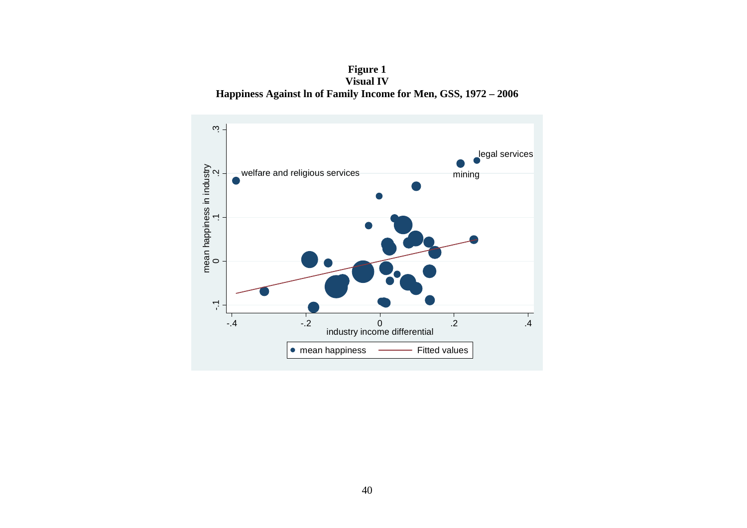**Figure 1 Visual IV Happiness Against ln of Family Income for Men, GSS, 1972 – 2006** 

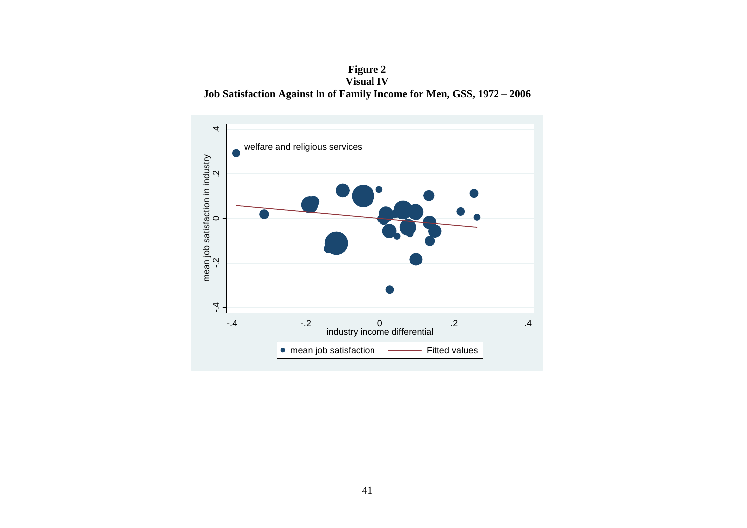**Figure 2 Visual IV Job Satisfaction Against ln of Family Income for Men, GSS, 1972 – 2006** 

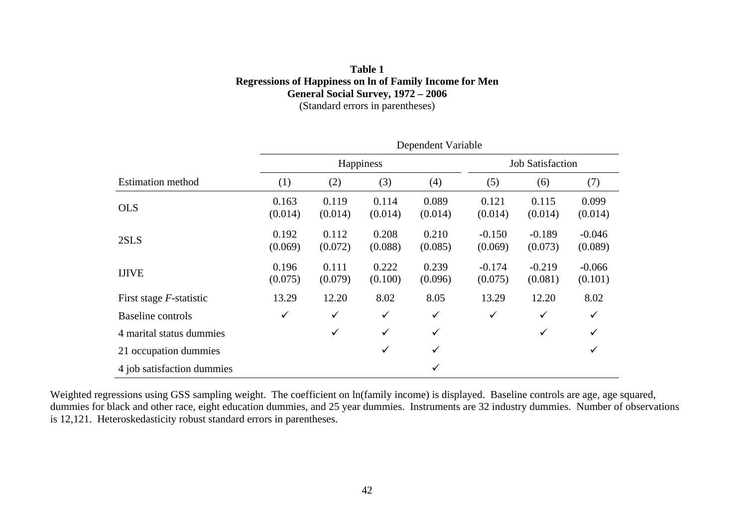#### **Table 1 Regressions of Happiness on ln of Family Income for Men General Social Survey, 1972 – 2006**  (Standard errors in parentheses)

|                            | Dependent Variable |                  |                  |                  |                         |                     |                     |  |
|----------------------------|--------------------|------------------|------------------|------------------|-------------------------|---------------------|---------------------|--|
|                            |                    |                  | Happiness        |                  | <b>Job Satisfaction</b> |                     |                     |  |
| <b>Estimation method</b>   | (1)                | (2)              | (3)              | (4)              | (5)                     | (6)                 | (7)                 |  |
| <b>OLS</b>                 | 0.163<br>(0.014)   | 0.119<br>(0.014) | 0.114<br>(0.014) | 0.089<br>(0.014) | 0.121<br>(0.014)        | 0.115<br>(0.014)    | 0.099<br>(0.014)    |  |
| 2SLS                       | 0.192<br>(0.069)   | 0.112<br>(0.072) | 0.208<br>(0.088) | 0.210<br>(0.085) | $-0.150$<br>(0.069)     | $-0.189$<br>(0.073) | $-0.046$<br>(0.089) |  |
| <b>IJIVE</b>               | 0.196<br>(0.075)   | 0.111<br>(0.079) | 0.222<br>(0.100) | 0.239<br>(0.096) | $-0.174$<br>(0.075)     | $-0.219$<br>(0.081) | $-0.066$<br>(0.101) |  |
| First stage $F$ -statistic | 13.29              | 12.20            | 8.02             | 8.05             | 13.29                   | 12.20               | 8.02                |  |
| <b>Baseline</b> controls   | $\checkmark$       | $\checkmark$     | $\checkmark$     | $\checkmark$     | $\checkmark$            | $\checkmark$        | $\checkmark$        |  |
| 4 marital status dummies   |                    | $\checkmark$     | $\checkmark$     | $\checkmark$     |                         | $\checkmark$        | $\checkmark$        |  |
| 21 occupation dummies      |                    |                  | $\checkmark$     | $\checkmark$     |                         |                     | ✓                   |  |
| 4 job satisfaction dummies |                    |                  |                  | $\checkmark$     |                         |                     |                     |  |

Weighted regressions using GSS sampling weight. The coefficient on ln(family income) is displayed. Baseline controls are age, age squared, dummies for black and other race, eight education dummies, and 25 year dummies. Instruments are 32 industry dummies. Number of observations is 12,121. Heteroskedasticity robust standard errors in parentheses.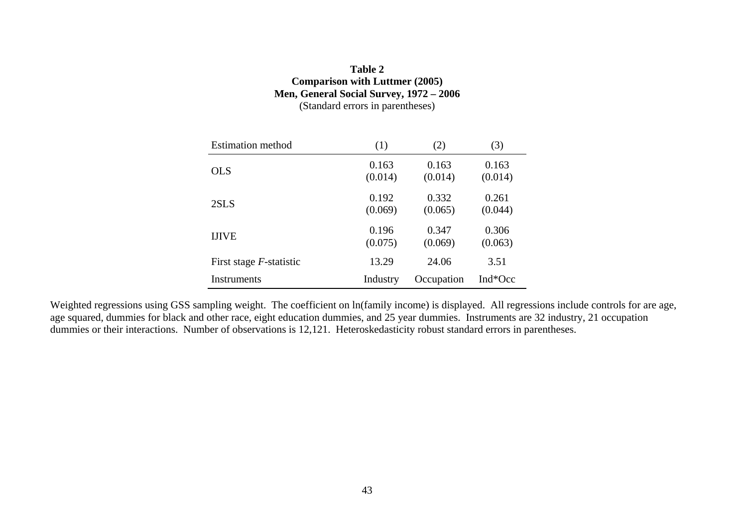#### **Table 2 Comparison with Luttmer (2005) Men, General Social Survey, 1972 – 2006**  (Standard errors in parentheses)

| <b>Estimation</b> method   | (1)      | (2)        | (3)     |
|----------------------------|----------|------------|---------|
| <b>OLS</b>                 | 0.163    | 0.163      | 0.163   |
|                            | (0.014)  | (0.014)    | (0.014) |
| 2SLS                       | 0.192    | 0.332      | 0.261   |
|                            | (0.069)  | (0.065)    | (0.044) |
| <b>IJIVE</b>               | 0.196    | 0.347      | 0.306   |
|                            | (0.075)  | (0.069)    | (0.063) |
| First stage $F$ -statistic | 13.29    | 24.06      | 3.51    |
| Instruments                | Industry | Occupation | Ind*Occ |

Weighted regressions using GSS sampling weight. The coefficient on ln(family income) is displayed. All regressions include controls for are age, age squared, dummies for black and other race, eight education dummies, and 25 year dummies. Instruments are 32 industry, 21 occupation dummies or their interactions. Number of observations is 12,121. Heteroskedasticity robust standard errors in parentheses.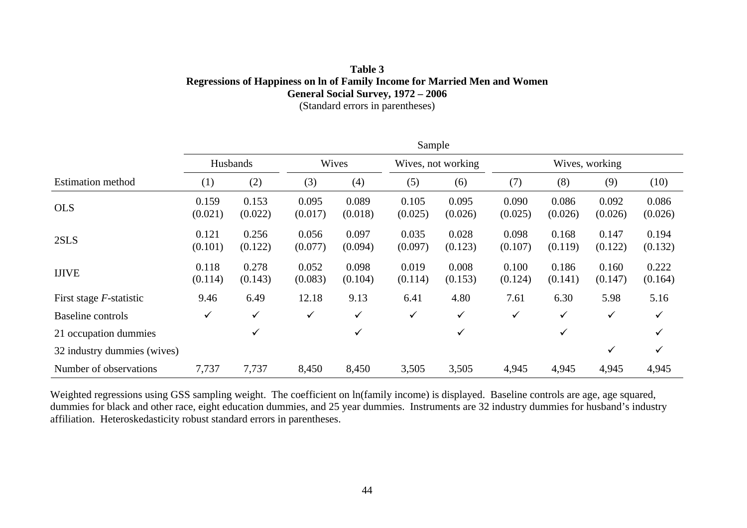#### **Table 3 Regressions of Happiness on ln of Family Income for Married Men and Women General Social Survey, 1972 – 2006**  (Standard errors in parentheses)

|                                 |                  |                  |                  |                  | Sample           |                    |                  |                  |                  |                  |
|---------------------------------|------------------|------------------|------------------|------------------|------------------|--------------------|------------------|------------------|------------------|------------------|
|                                 | Husbands         |                  |                  | Wives            |                  | Wives, not working |                  | Wives, working   |                  |                  |
| <b>Estimation method</b>        | (1)              | (2)              | (3)              | (4)              | (5)              | (6)                | (7)              | (8)              | (9)              | (10)             |
| <b>OLS</b>                      | 0.159<br>(0.021) | 0.153<br>(0.022) | 0.095<br>(0.017) | 0.089<br>(0.018) | 0.105<br>(0.025) | 0.095<br>(0.026)   | 0.090<br>(0.025) | 0.086<br>(0.026) | 0.092<br>(0.026) | 0.086<br>(0.026) |
| 2SLS                            | 0.121<br>(0.101) | 0.256<br>(0.122) | 0.056<br>(0.077) | 0.097<br>(0.094) | 0.035<br>(0.097) | 0.028<br>(0.123)   | 0.098<br>(0.107) | 0.168<br>(0.119) | 0.147<br>(0.122) | 0.194<br>(0.132) |
| <b>IJIVE</b>                    | 0.118<br>(0.114) | 0.278<br>(0.143) | 0.052<br>(0.083) | 0.098<br>(0.104) | 0.019<br>(0.114) | 0.008<br>(0.153)   | 0.100<br>(0.124) | 0.186<br>(0.141) | 0.160<br>(0.147) | 0.222<br>(0.164) |
| First stage <i>F</i> -statistic | 9.46             | 6.49             | 12.18            | 9.13             | 6.41             | 4.80               | 7.61             | 6.30             | 5.98             | 5.16             |
| Baseline controls               | ✓                | $\checkmark$     | $\checkmark$     | $\checkmark$     | $\checkmark$     | $\checkmark$       | $\checkmark$     | ✓                | ✓                | $\checkmark$     |
| 21 occupation dummies           |                  | $\checkmark$     |                  | $\checkmark$     |                  | $\checkmark$       |                  | $\checkmark$     |                  | ✓                |
| 32 industry dummies (wives)     |                  |                  |                  |                  |                  |                    |                  |                  | ✓                | $\checkmark$     |
| Number of observations          | 7,737            | 7,737            | 8,450            | 8,450            | 3,505            | 3,505              | 4,945            | 4,945            | 4,945            | 4,945            |

Weighted regressions using GSS sampling weight. The coefficient on ln(family income) is displayed. Baseline controls are age, age squared, dummies for black and other race, eight education dummies, and 25 year dummies. Instruments are 32 industry dummies for husband's industry affiliation. Heteroskedasticity robust standard errors in parentheses.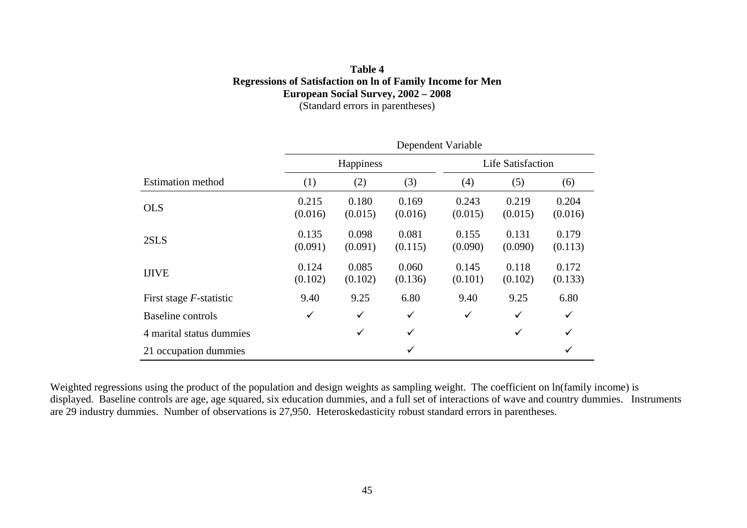#### **Table 4 Regressions of Satisfaction on ln of Family Income for Men European Social Survey, 2002 – 2008**  (Standard errors in parentheses)

|                            | Dependent Variable |                  |                  |                  |                          |                  |  |
|----------------------------|--------------------|------------------|------------------|------------------|--------------------------|------------------|--|
|                            |                    | Happiness        |                  |                  | <b>Life Satisfaction</b> |                  |  |
| <b>Estimation method</b>   | (1)                | (2)              | (3)              | (4)              | (5)                      | (6)              |  |
| <b>OLS</b>                 | 0.215<br>(0.016)   | 0.180<br>(0.015) | 0.169<br>(0.016) | 0.243<br>(0.015) | 0.219<br>(0.015)         | 0.204<br>(0.016) |  |
| 2SLS                       | 0.135<br>(0.091)   | 0.098<br>(0.091) | 0.081<br>(0.115) | 0.155<br>(0.090) | 0.131<br>(0.090)         | 0.179<br>(0.113) |  |
| <b>IJIVE</b>               | 0.124<br>(0.102)   | 0.085<br>(0.102) | 0.060<br>(0.136) | 0.145<br>(0.101) | 0.118<br>(0.102)         | 0.172<br>(0.133) |  |
| First stage $F$ -statistic | 9.40               | 9.25             | 6.80             | 9.40             | 9.25                     | 6.80             |  |
| Baseline controls          | $\checkmark$       | $\checkmark$     | $\checkmark$     | $\checkmark$     | $\checkmark$             | $\checkmark$     |  |
| 4 marital status dummies   |                    | $\checkmark$     | $\checkmark$     |                  | $\checkmark$             | $\checkmark$     |  |
| 21 occupation dummies      |                    |                  | ✓                |                  |                          | ✓                |  |

Weighted regressions using the product of the population and design weights as sampling weight. The coefficient on ln(family income) is displayed. Baseline controls are age, age squared, six education dummies, and a full set of interactions of wave and country dummies. Instruments are 29 industry dummies. Number of observations is 27,950. Heteroskedasticity robust standard errors in parentheses.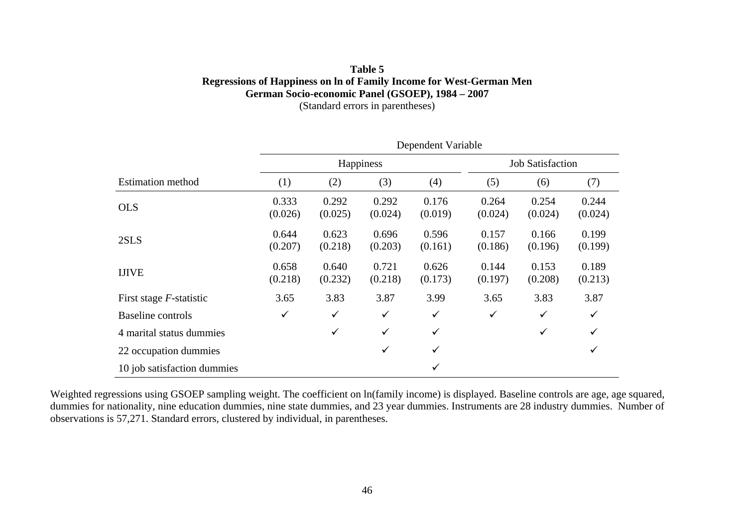#### **Table 5 Regressions of Happiness on ln of Family Income for West-German Men German Socio-economic Panel (GSOEP), 1984 – 2007**  (Standard errors in parentheses)

|                             | Dependent Variable |                  |                  |                  |                         |                  |                  |  |
|-----------------------------|--------------------|------------------|------------------|------------------|-------------------------|------------------|------------------|--|
|                             |                    |                  | Happiness        |                  | <b>Job Satisfaction</b> |                  |                  |  |
| <b>Estimation method</b>    | (1)                | (2)              | (3)              | (4)              | (5)                     | (6)              | (7)              |  |
| <b>OLS</b>                  | 0.333<br>(0.026)   | 0.292<br>(0.025) | 0.292<br>(0.024) | 0.176<br>(0.019) | 0.264<br>(0.024)        | 0.254<br>(0.024) | 0.244<br>(0.024) |  |
| 2SLS                        | 0.644<br>(0.207)   | 0.623<br>(0.218) | 0.696<br>(0.203) | 0.596<br>(0.161) | 0.157<br>(0.186)        | 0.166<br>(0.196) | 0.199<br>(0.199) |  |
| <b>IJIVE</b>                | 0.658<br>(0.218)   | 0.640<br>(0.232) | 0.721<br>(0.218) | 0.626<br>(0.173) | 0.144<br>(0.197)        | 0.153<br>(0.208) | 0.189<br>(0.213) |  |
| First stage $F$ -statistic  | 3.65               | 3.83             | 3.87             | 3.99             | 3.65                    | 3.83             | 3.87             |  |
| Baseline controls           | $\checkmark$       | $\checkmark$     | $\checkmark$     | ✓                | $\checkmark$            | $\checkmark$     | $\checkmark$     |  |
| 4 marital status dummies    |                    | $\checkmark$     | $\checkmark$     | $\checkmark$     |                         | $\checkmark$     | $\checkmark$     |  |
| 22 occupation dummies       |                    |                  | $\checkmark$     | $\checkmark$     |                         |                  | ✓                |  |
| 10 job satisfaction dummies |                    |                  |                  | ✓                |                         |                  |                  |  |

Weighted regressions using GSOEP sampling weight. The coefficient on ln(family income) is displayed. Baseline controls are age, age squared, dummies for nationality, nine education dummies, nine state dummies, and 23 year dummies. Instruments are 28 industry dummies. Number of observations is 57,271. Standard errors, clustered by individual, in parentheses.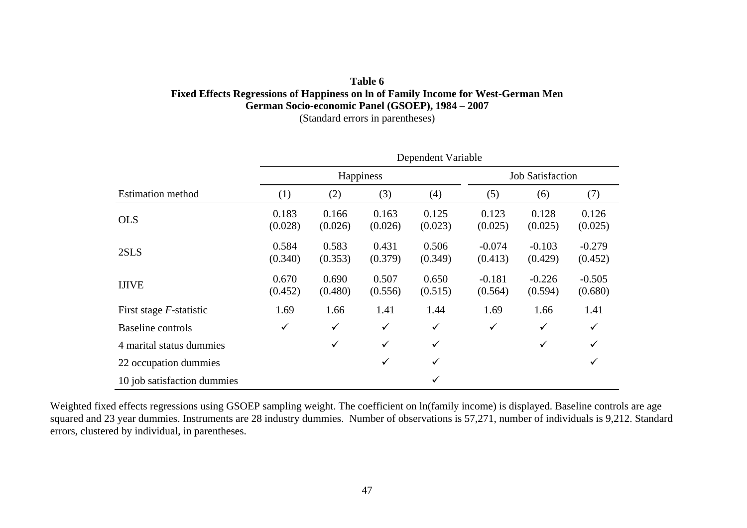#### **Table 6 Fixed Effects Regressions of Happiness on ln of Family Income for West-German Men German Socio-economic Panel (GSOEP), 1984 – 2007**  (Standard errors in parentheses)

|                             |                  |                  | Happiness        |                  | <b>Job Satisfaction</b> |                     |                     |  |
|-----------------------------|------------------|------------------|------------------|------------------|-------------------------|---------------------|---------------------|--|
| <b>Estimation method</b>    | (1)              | (2)              | (3)              | (4)              | (5)                     | (6)                 | (7)                 |  |
| <b>OLS</b>                  | 0.183<br>(0.028) | 0.166<br>(0.026) | 0.163<br>(0.026) | 0.125<br>(0.023) | 0.123<br>(0.025)        | 0.128<br>(0.025)    | 0.126<br>(0.025)    |  |
| 2SLS                        | 0.584<br>(0.340) | 0.583<br>(0.353) | 0.431<br>(0.379) | 0.506<br>(0.349) | $-0.074$<br>(0.413)     | $-0.103$<br>(0.429) | $-0.279$<br>(0.452) |  |
| <b>IJIVE</b>                | 0.670<br>(0.452) | 0.690<br>(0.480) | 0.507<br>(0.556) | 0.650<br>(0.515) | $-0.181$<br>(0.564)     | $-0.226$<br>(0.594) | $-0.505$<br>(0.680) |  |
| First stage $F$ -statistic  | 1.69             | 1.66             | 1.41             | 1.44             | 1.69                    | 1.66                | 1.41                |  |
| Baseline controls           | $\checkmark$     | $\checkmark$     | $\checkmark$     | $\checkmark$     | $\checkmark$            | $\checkmark$        | $\checkmark$        |  |
| 4 marital status dummies    |                  | ✓                | $\checkmark$     | $\checkmark$     |                         | $\checkmark$        | $\checkmark$        |  |
| 22 occupation dummies       |                  |                  | $\checkmark$     | $\checkmark$     |                         |                     | $\checkmark$        |  |
| 10 job satisfaction dummies |                  |                  |                  | ✓                |                         |                     |                     |  |

Weighted fixed effects regressions using GSOEP sampling weight. The coefficient on ln(family income) is displayed. Baseline controls are age squared and 23 year dummies. Instruments are 28 industry dummies. Number of observations is 57,271, number of individuals is 9,212. Standard errors, clustered by individual, in parentheses.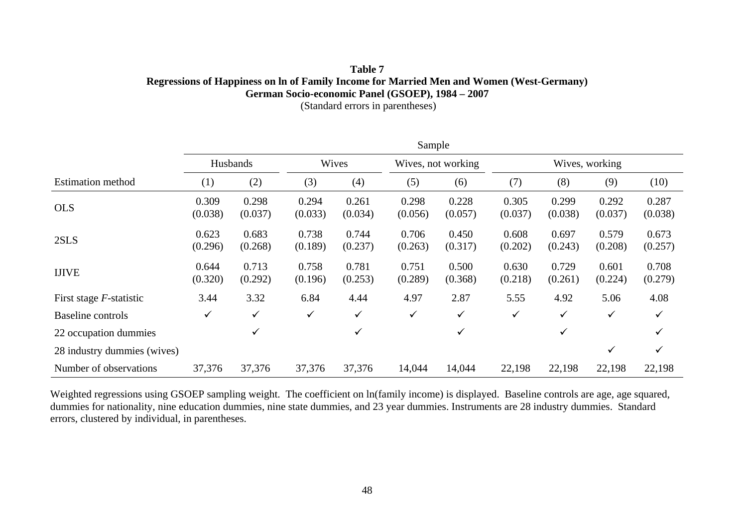### **Table 7 Regressions of Happiness on ln of Family Income for Married Men and Women (West-Germany) German Socio-economic Panel (GSOEP), 1984 – 2007**

(Standard errors in parentheses)

|                             |                  |                  |                  |                  | Sample           |                    |                  |                  |                  |                  |
|-----------------------------|------------------|------------------|------------------|------------------|------------------|--------------------|------------------|------------------|------------------|------------------|
|                             |                  | Husbands         |                  | Wives            |                  | Wives, not working |                  |                  | Wives, working   |                  |
| <b>Estimation method</b>    | $\left(1\right)$ | (2)              | (3)              | (4)              | (5)              | (6)                | (7)              | (8)              | (9)              | (10)             |
| <b>OLS</b>                  | 0.309<br>(0.038) | 0.298<br>(0.037) | 0.294<br>(0.033) | 0.261<br>(0.034) | 0.298<br>(0.056) | 0.228<br>(0.057)   | 0.305<br>(0.037) | 0.299<br>(0.038) | 0.292<br>(0.037) | 0.287<br>(0.038) |
| 2SLS                        | 0.623<br>(0.296) | 0.683<br>(0.268) | 0.738<br>(0.189) | 0.744<br>(0.237) | 0.706<br>(0.263) | 0.450<br>(0.317)   | 0.608<br>(0.202) | 0.697<br>(0.243) | 0.579<br>(0.208) | 0.673<br>(0.257) |
| <b>IJIVE</b>                | 0.644<br>(0.320) | 0.713<br>(0.292) | 0.758<br>(0.196) | 0.781<br>(0.253) | 0.751<br>(0.289) | 0.500<br>(0.368)   | 0.630<br>(0.218) | 0.729<br>(0.261) | 0.601<br>(0.224) | 0.708<br>(0.279) |
| First stage $F$ -statistic  | 3.44             | 3.32             | 6.84             | 4.44             | 4.97             | 2.87               | 5.55             | 4.92             | 5.06             | 4.08             |
| <b>Baseline</b> controls    | ✓                | $\checkmark$     | $\checkmark$     | $\checkmark$     | ✓                | $\checkmark$       | ✓                | ✓                | ✓                | ✓                |
| 22 occupation dummies       |                  | ✓                |                  | ✓                |                  | ✓                  |                  | ✓                |                  |                  |
| 28 industry dummies (wives) |                  |                  |                  |                  |                  |                    |                  |                  | ✓                | $\checkmark$     |
| Number of observations      | 37,376           | 37,376           | 37,376           | 37,376           | 14,044           | 14,044             | 22,198           | 22,198           | 22,198           | 22,198           |

Weighted regressions using GSOEP sampling weight. The coefficient on ln(family income) is displayed. Baseline controls are age, age squared, dummies for nationality, nine education dummies, nine state dummies, and 23 year dummies. Instruments are 28 industry dummies. Standard errors, clustered by individual, in parentheses.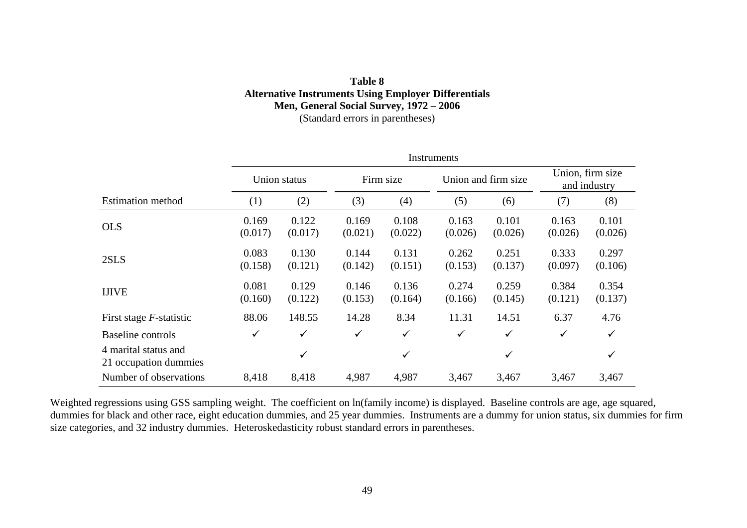#### **Table 8 Alternative Instruments Using Employer Differentials Men, General Social Survey, 1972 – 2006**  (Standard errors in parentheses)

| Instruments                                   |                  |                  |                  |                  |                  |                     |                  |                                  |  |
|-----------------------------------------------|------------------|------------------|------------------|------------------|------------------|---------------------|------------------|----------------------------------|--|
|                                               | Union status     |                  |                  | Firm size        |                  | Union and firm size |                  | Union, firm size<br>and industry |  |
| <b>Estimation method</b>                      | (1)              | (2)              | (3)              | (4)              | (5)              | (6)                 | (7)              | (8)                              |  |
| <b>OLS</b>                                    | 0.169<br>(0.017) | 0.122<br>(0.017) | 0.169<br>(0.021) | 0.108<br>(0.022) | 0.163<br>(0.026) | 0.101<br>(0.026)    | 0.163<br>(0.026) | 0.101<br>(0.026)                 |  |
| 2SLS                                          | 0.083<br>(0.158) | 0.130<br>(0.121) | 0.144<br>(0.142) | 0.131<br>(0.151) | 0.262<br>(0.153) | 0.251<br>(0.137)    | 0.333<br>(0.097) | 0.297<br>(0.106)                 |  |
| <b>IJIVE</b>                                  | 0.081<br>(0.160) | 0.129<br>(0.122) | 0.146<br>(0.153) | 0.136<br>(0.164) | 0.274<br>(0.166) | 0.259<br>(0.145)    | 0.384<br>(0.121) | 0.354<br>(0.137)                 |  |
| First stage $F$ -statistic                    | 88.06            | 148.55           | 14.28            | 8.34             | 11.31            | 14.51               | 6.37             | 4.76                             |  |
| Baseline controls                             | $\checkmark$     | $\checkmark$     | $\checkmark$     | $\checkmark$     | $\checkmark$     | ✓                   | $\checkmark$     | $\checkmark$                     |  |
| 4 marital status and<br>21 occupation dummies |                  | ✓                |                  | $\checkmark$     |                  | ✓                   |                  | ✓                                |  |
| Number of observations                        | 8,418            | 8,418            | 4,987            | 4,987            | 3,467            | 3,467               | 3,467            | 3,467                            |  |

Weighted regressions using GSS sampling weight. The coefficient on ln(family income) is displayed. Baseline controls are age, age squared, dummies for black and other race, eight education dummies, and 25 year dummies. Instruments are a dummy for union status, six dummies for firm size categories, and 32 industry dummies. Heteroskedasticity robust standard errors in parentheses.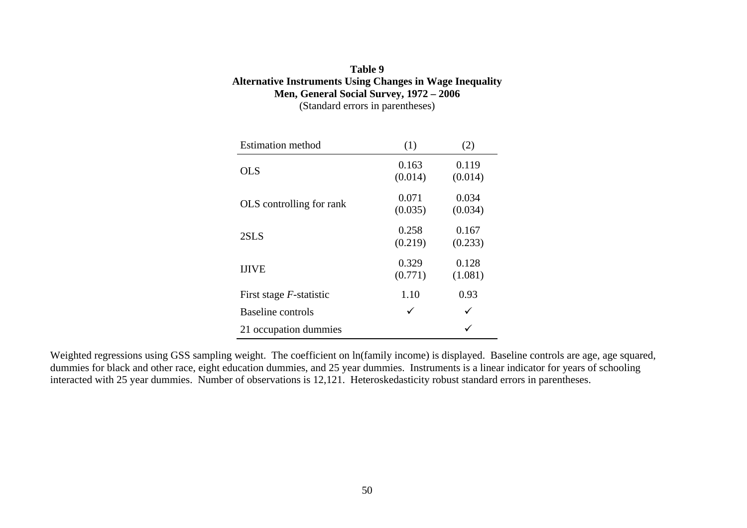#### **Table 9 Alternative Instruments Using Changes in Wage Inequality Men, General Social Survey, 1972 – 2006**  (Standard errors in parentheses)

| <b>Estimation method</b>        | (1)              | (2)              |
|---------------------------------|------------------|------------------|
| <b>OLS</b>                      | 0.163<br>(0.014) | 0.119<br>(0.014) |
| OLS controlling for rank        | 0.071<br>(0.035) | 0.034<br>(0.034) |
| 2SLS                            | 0.258<br>(0.219) | 0.167<br>(0.233) |
| <b>IJIVE</b>                    | 0.329<br>(0.771) | 0.128<br>(1.081) |
| First stage <i>F</i> -statistic | 1.10             | 0.93             |
| Baseline controls               | ✓                | ✓                |
| 21 occupation dummies           |                  |                  |

Weighted regressions using GSS sampling weight. The coefficient on ln(family income) is displayed. Baseline controls are age, age squared, dummies for black and other race, eight education dummies, and 25 year dummies. Instruments is a linear indicator for years of schooling interacted with 25 year dummies. Number of observations is 12,121. Heteroskedasticity robust standard errors in parentheses.